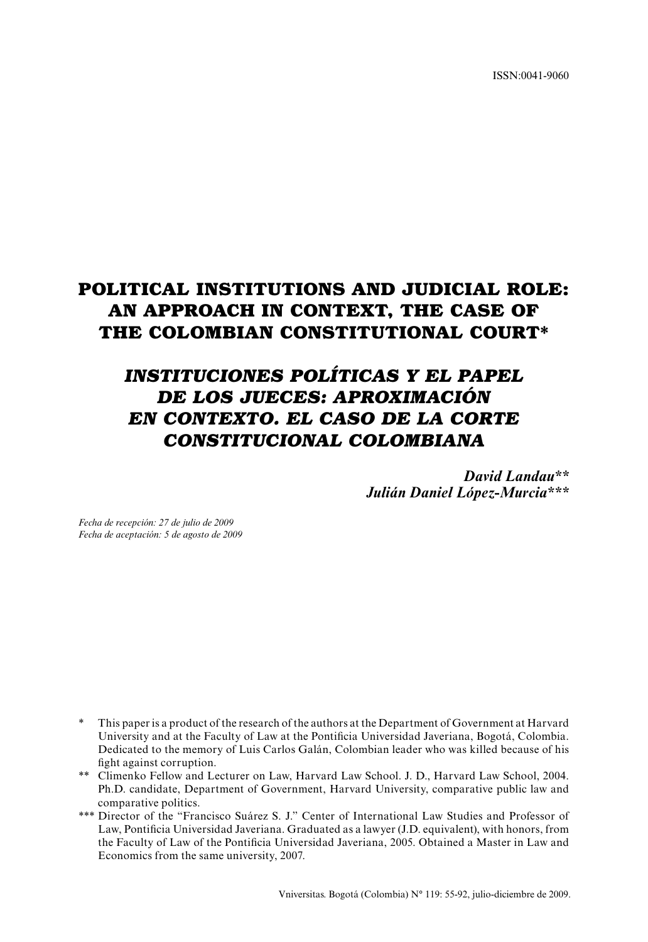ISSN:0041-9060

# **POLITICAL INSTITUTIONS AND JUDICIAL ROLE: AN APPROACH IN CONTEXT, THE CASE OF THE COLOMBIAN CONSTITUTIONAL COURT\***

# *INSTITUCIONES POLÍTICAS Y EL PAPEL DE LOS JUECES: APROXIMACIÓN EN CONTEXTO. EL CASO DE LA CORTE CONSTITUCIONAL COLOMBIANA*

*David Landau\*\* Julián Daniel López-Murcia\*\*\**

*Fecha de recepción: 27 de julio de 2009 Fecha de aceptación: 5 de agosto de 2009*

- \* This paper is a product of the research of the authors at the Department of Government at Harvard University and at the Faculty of Law at the Pontificia Universidad Javeriana, Bogotá, Colombia. Dedicated to the memory of Luis Carlos Galán, Colombian leader who was killed because of his fight against corruption.
- \*\* Climenko Fellow and Lecturer on Law, Harvard Law School. J. D., Harvard Law School, 2004. Ph.D. candidate, Department of Government, Harvard University, comparative public law and comparative politics.
- \*\*\* Director of the "Francisco Suárez S. J." Center of International Law Studies and Professor of Law, Pontificia Universidad Javeriana. Graduated as a lawyer (J.D. equivalent), with honors, from the Faculty of Law of the Pontificia Universidad Javeriana, 2005. Obtained a Master in Law and Economics from the same university, 2007.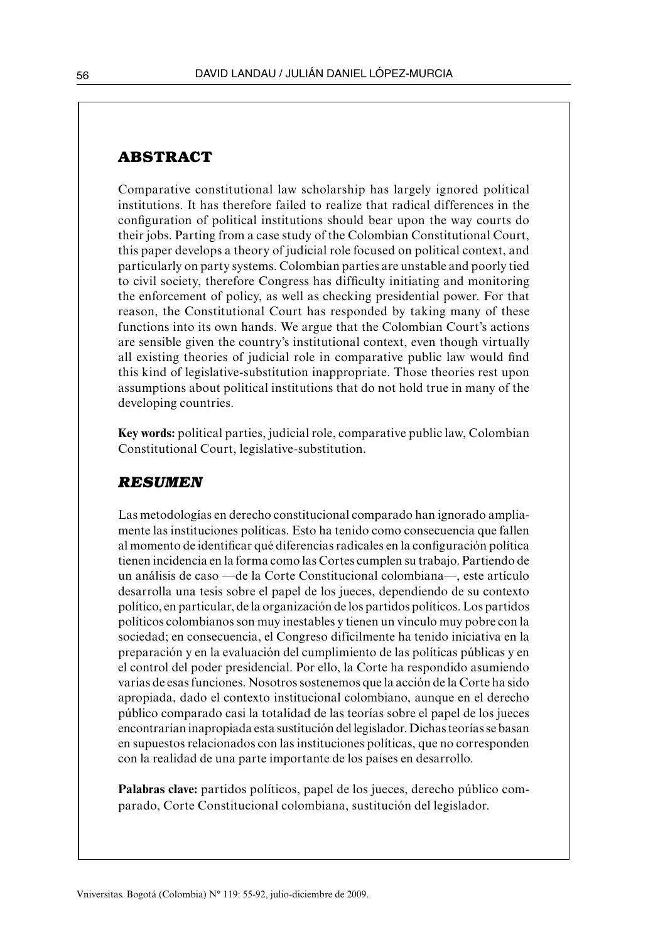## **ABSTRACT**

Comparative constitutional law scholarship has largely ignored political institutions. It has therefore failed to realize that radical differences in the configuration of political institutions should bear upon the way courts do their jobs. Parting from a case study of the Colombian Constitutional Court, this paper develops a theory of judicial role focused on political context, and particularly on party systems. Colombian parties are unstable and poorly tied to civil society, therefore Congress has difficulty initiating and monitoring the enforcement of policy, as well as checking presidential power. For that reason, the Constitutional Court has responded by taking many of these functions into its own hands. We argue that the Colombian Court's actions are sensible given the country's institutional context, even though virtually all existing theories of judicial role in comparative public law would find this kind of legislative-substitution inappropriate. Those theories rest upon assumptions about political institutions that do not hold true in many of the developing countries.

**Key words:** political parties, judicial role, comparative public law, Colombian Constitutional Court, legislative-substitution.

#### *RESUMEN*

Las metodologías en derecho constitucional comparado han ignorado ampliamente las instituciones políticas. Esto ha tenido como consecuencia que fallen al momento de identificar qué diferencias radicales en la configuración política tienen incidencia en la forma como las Cortes cumplen su trabajo. Partiendo de un análisis de caso —de la Corte Constitucional colombiana—, este artículo desarrolla una tesis sobre el papel de los jueces, dependiendo de su contexto político, en particular, de la organización de los partidos políticos. Los partidos políticos colombianos son muy inestables y tienen un vínculo muy pobre con la sociedad; en consecuencia, el Congreso difícilmente ha tenido iniciativa en la preparación y en la evaluación del cumplimiento de las políticas públicas y en el control del poder presidencial. Por ello, la Corte ha respondido asumiendo varias de esas funciones. Nosotros sostenemos que la acción de la Corte ha sido apropiada, dado el contexto institucional colombiano, aunque en el derecho público comparado casi la totalidad de las teorías sobre el papel de los jueces encontrarían inapropiada esta sustitución del legislador. Dichas teorías se basan en supuestos relacionados con las instituciones políticas, que no corresponden con la realidad de una parte importante de los países en desarrollo.

Palabras clave: partidos políticos, papel de los jueces, derecho público comparado, Corte Constitucional colombiana, sustitución del legislador.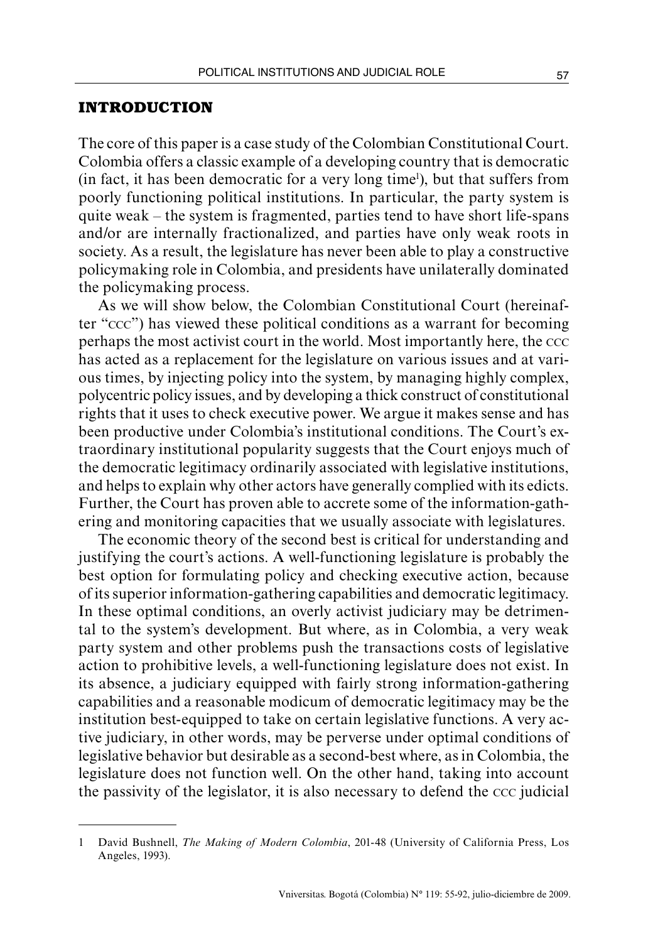#### **INTRODUCTION**

The core of this paper is a case study of the Colombian Constitutional Court. Colombia offers a classic example of a developing country that is democratic  $(in$  fact, it has been democratic for a very long time<sup>1</sup>), but that suffers from poorly functioning political institutions. In particular, the party system is quite weak – the system is fragmented, parties tend to have short life-spans and/or are internally fractionalized, and parties have only weak roots in society. As a result, the legislature has never been able to play a constructive policymaking role in Colombia, and presidents have unilaterally dominated the policymaking process.

As we will show below, the Colombian Constitutional Court (hereinafter "ccc") has viewed these political conditions as a warrant for becoming perhaps the most activist court in the world. Most importantly here, the ccc has acted as a replacement for the legislature on various issues and at various times, by injecting policy into the system, by managing highly complex, polycentric policy issues, and by developing a thick construct of constitutional rights that it uses to check executive power. We argue it makes sense and has been productive under Colombia's institutional conditions. The Court's extraordinary institutional popularity suggests that the Court enjoys much of the democratic legitimacy ordinarily associated with legislative institutions, and helps to explain why other actors have generally complied with its edicts. Further, the Court has proven able to accrete some of the information-gathering and monitoring capacities that we usually associate with legislatures.

The economic theory of the second best is critical for understanding and justifying the court's actions. A well-functioning legislature is probably the best option for formulating policy and checking executive action, because of its superior information-gathering capabilities and democratic legitimacy. In these optimal conditions, an overly activist judiciary may be detrimental to the system's development. But where, as in Colombia, a very weak party system and other problems push the transactions costs of legislative action to prohibitive levels, a well-functioning legislature does not exist. In its absence, a judiciary equipped with fairly strong information-gathering capabilities and a reasonable modicum of democratic legitimacy may be the institution best-equipped to take on certain legislative functions. A very active judiciary, in other words, may be perverse under optimal conditions of legislative behavior but desirable as a second-best where, as in Colombia, the legislature does not function well. On the other hand, taking into account the passivity of the legislator, it is also necessary to defend the ccc judicial

<sup>1</sup> David Bushnell, *The Making of Modern Colombia*, 201-48 (University of California Press, Los Angeles, 1993).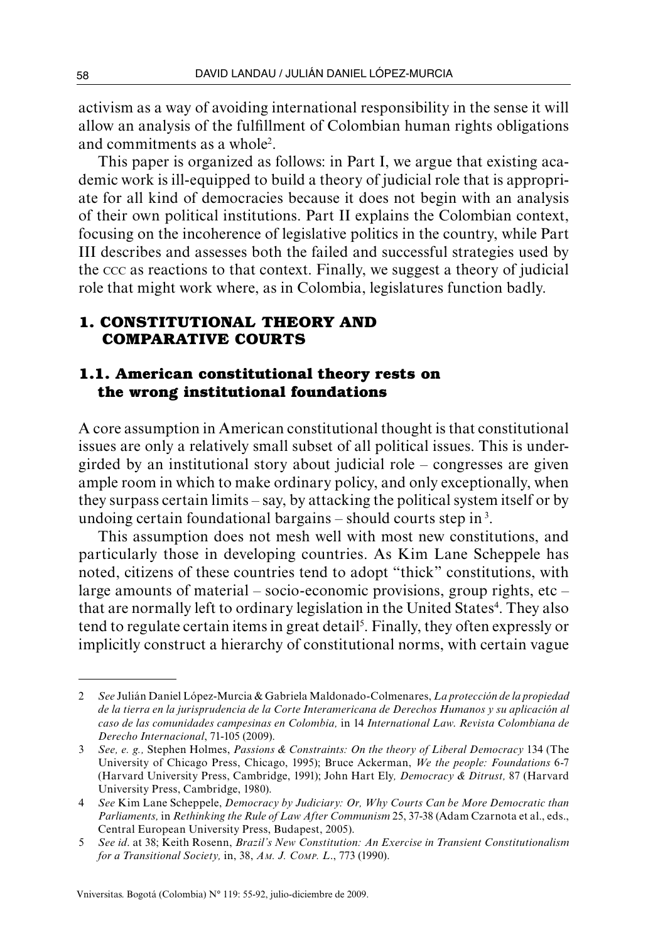activism as a way of avoiding international responsibility in the sense it will allow an analysis of the fulfillment of Colombian human rights obligations and commitments as a whole<sup>2</sup>.

This paper is organized as follows: in Part I, we argue that existing academic work is ill-equipped to build a theory of judicial role that is appropriate for all kind of democracies because it does not begin with an analysis of their own political institutions. Part II explains the Colombian context, focusing on the incoherence of legislative politics in the country, while Part III describes and assesses both the failed and successful strategies used by the ccc as reactions to that context. Finally, we suggest a theory of judicial role that might work where, as in Colombia, legislatures function badly.

## **1. Constitutional theory and comparative courts**

## **1.1. American constitutional theory rests on the wrong institutional foundations**

A core assumption in American constitutional thought is that constitutional issues are only a relatively small subset of all political issues. This is undergirded by an institutional story about judicial role – congresses are given ample room in which to make ordinary policy, and only exceptionally, when they surpass certain limits – say, by attacking the political system itself or by undoing certain foundational bargains – should courts step in 3.

This assumption does not mesh well with most new constitutions, and particularly those in developing countries. As Kim Lane Scheppele has noted, citizens of these countries tend to adopt "thick" constitutions, with large amounts of material – socio-economic provisions, group rights, etc – that are normally left to ordinary legislation in the United States<sup>4</sup>. They also tend to regulate certain items in great detail<sup>5</sup>. Finally, they often expressly or implicitly construct a hierarchy of constitutional norms, with certain vague

<sup>2</sup> *See* Julián Daniel López-Murcia & Gabriela Maldonado-Colmenares, *La protección de la propiedad de la tierra en la jurisprudencia de la Corte Interamericana de Derechos Humanos y su aplicación al caso de las comunidades campesinas en Colombia,* in 14 *International Law*. *Revista Colombiana de Derecho Internacional*, 71-105 (2009).

<sup>3</sup> *See, e. g.,* Stephen Holmes, *Passions & Constraints: On the theory of Liberal Democracy* 134 (The University of Chicago Press, Chicago, 1995); Bruce Ackerman, *We the people: Foundations* 6-7 (Harvard University Press, Cambridge, 1991); John Hart Ely*, Democracy & Ditrust,* 87 (Harvard University Press, Cambridge, 1980).

<sup>4</sup> *See* Kim Lane Scheppele, *Democracy by Judiciary: Or, Why Courts Can be More Democratic than Parliaments,* in *Rethinking the Rule of Law After Communism* 25, 37-38 (Adam Czarnota et al., eds., Central European University Press, Budapest, 2005).

<sup>5</sup> *See id*. at 38; Keith Rosenn, *Brazil's New Constitution: An Exercise in Transient Constitutionalism for a Transitional Society,* in, 38, *Am. J. Comp. L*., 773 (1990).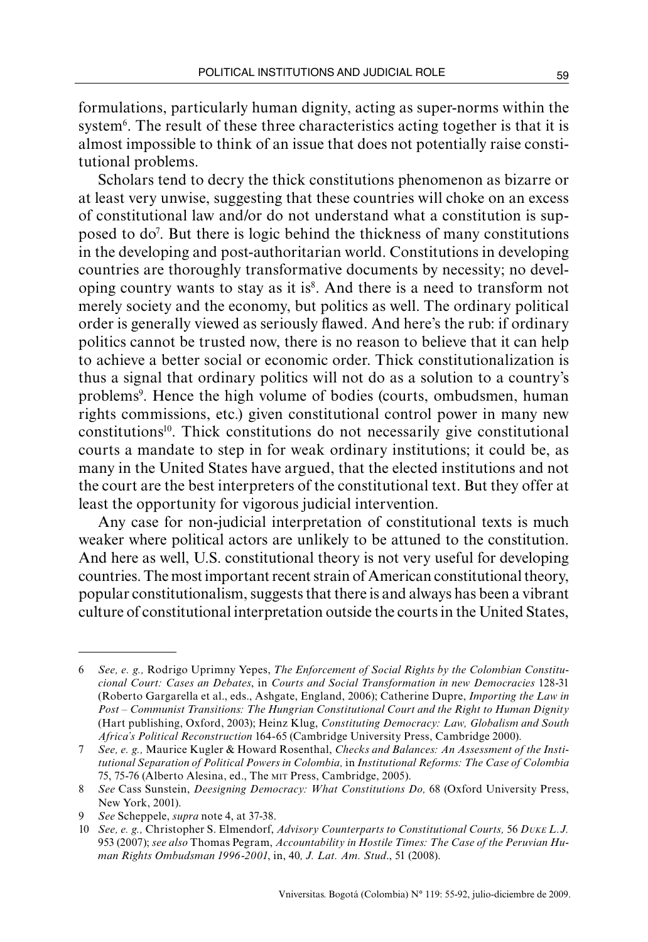formulations, particularly human dignity, acting as super-norms within the system<sup>6</sup>. The result of these three characteristics acting together is that it is almost impossible to think of an issue that does not potentially raise constitutional problems.

Scholars tend to decry the thick constitutions phenomenon as bizarre or at least very unwise, suggesting that these countries will choke on an excess of constitutional law and/or do not understand what a constitution is supposed to do7 . But there is logic behind the thickness of many constitutions in the developing and post-authoritarian world. Constitutions in developing countries are thoroughly transformative documents by necessity; no developing country wants to stay as it is<sup>8</sup>. And there is a need to transform not merely society and the economy, but politics as well. The ordinary political order is generally viewed as seriously flawed. And here's the rub: if ordinary politics cannot be trusted now, there is no reason to believe that it can help to achieve a better social or economic order. Thick constitutionalization is thus a signal that ordinary politics will not do as a solution to a country's problems<sup>9</sup>. Hence the high volume of bodies (courts, ombudsmen, human rights commissions, etc.) given constitutional control power in many new constitutions10. Thick constitutions do not necessarily give constitutional courts a mandate to step in for weak ordinary institutions; it could be, as many in the United States have argued, that the elected institutions and not the court are the best interpreters of the constitutional text. But they offer at least the opportunity for vigorous judicial intervention.

Any case for non-judicial interpretation of constitutional texts is much weaker where political actors are unlikely to be attuned to the constitution. And here as well, U.S. constitutional theory is not very useful for developing countries. The most important recent strain of American constitutional theory, popular constitutionalism, suggests that there is and always has been a vibrant culture of constitutional interpretation outside the courts in the United States,

<sup>6</sup> *See, e. g.,* Rodrigo Uprimny Yepes, *The Enforcement of Social Rights by the Colombian Constitucional Court: Cases an Debates*, in *Courts and Social Transformation in new Democracies* 128-31 (Roberto Gargarella et al., eds., Ashgate, England, 2006); Catherine Dupre, *Importing the Law in Post – Communist Transitions: The Hungrian Constitutional Court and the Right to Human Dignity* (Hart publishing, Oxford, 2003); Heinz Klug, *Constituting Democracy: Law, Globalism and South Africa's Political Reconstruction* 164-65 (Cambridge University Press, Cambridge 2000).

<sup>7</sup> *See, e. g.,* Maurice Kugler & Howard Rosenthal, *Checks and Balances: An Assessment of the Institutional Separation of Political Powers in Colombia,* in *Institutional Reforms: The Case of Colombia* 75, 75-76 (Alberto Alesina, ed., The mit Press, Cambridge, 2005).

<sup>8</sup> *See* Cass Sunstein, *Deesigning Democracy: What Constitutions Do,* 68 (Oxford University Press, New York, 2001).

<sup>9</sup> *See* Scheppele, *supra* note 4, at 37-38.

<sup>10</sup> *See, e. g.,* Christopher S. Elmendorf, *Advisory Counterparts to Constitutional Courts,* 56 *Duke L.J.* 953 (2007); *see also* Thomas Pegram, *Accountability in Hostile Times: The Case of the Peruvian Human Rights Ombudsman 1996-2001*, in, 40*, J. Lat. Am. Stud*., 51 (2008).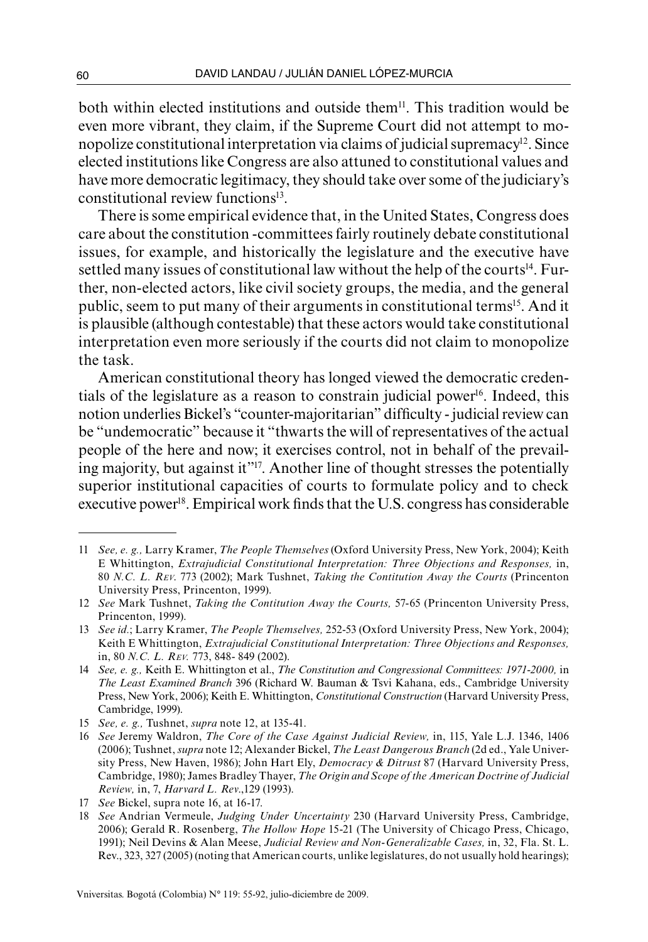both within elected institutions and outside them<sup>11</sup>. This tradition would be even more vibrant, they claim, if the Supreme Court did not attempt to monopolize constitutional interpretation via claims of judicial supremacy<sup>12</sup>. Since elected institutions like Congress are also attuned to constitutional values and have more democratic legitimacy, they should take over some of the judiciary's constitutional review functions<sup>13</sup>.

There is some empirical evidence that, in the United States, Congress does care about the constitution -committees fairly routinely debate constitutional issues, for example, and historically the legislature and the executive have settled many issues of constitutional law without the help of the courts<sup>14</sup>. Further, non-elected actors, like civil society groups, the media, and the general public, seem to put many of their arguments in constitutional terms<sup>15</sup>. And it is plausible (although contestable) that these actors would take constitutional interpretation even more seriously if the courts did not claim to monopolize the task.

American constitutional theory has longed viewed the democratic credentials of the legislature as a reason to constrain judicial power<sup>16</sup>. Indeed, this notion underlies Bickel's "counter-majoritarian" difficulty - judicial review can be "undemocratic" because it "thwarts the will of representatives of the actual people of the here and now; it exercises control, not in behalf of the prevailing majority, but against it"17. Another line of thought stresses the potentially superior institutional capacities of courts to formulate policy and to check executive power<sup>18</sup>. Empirical work finds that the U.S. congress has considerable

<sup>11</sup> *See, e. g.,* Larry Kramer, *The People Themselves* (Oxford University Press, New York, 2004); Keith E Whittington, *Extrajudicial Constitutional Interpretation: Three Objections and Responses,* in, 80 *N.C. L. Rev*. 773 (2002); Mark Tushnet, *Taking the Contitution Away the Courts* (Princenton University Press, Princenton, 1999).

<sup>12</sup> *See* Mark Tushnet, *Taking the Contitution Away the Courts,* 57-65 (Princenton University Press, Princenton, 1999).

<sup>13</sup> *See id.*; Larry Kramer, *The People Themselves,* 252-53 (Oxford University Press, New York, 2004); Keith E Whittington, *Extrajudicial Constitutional Interpretation: Three Objections and Responses,*  in, 80 *N.C. L. Rev.* 773, 848- 849 (2002).

<sup>14</sup> *See, e. g.,* Keith E. Whittington et al., *The Constitution and Congressional Committees: 1971-2000,* in *The Least Examined Branch* 396 (Richard W. Bauman & Tsvi Kahana, eds., Cambridge University Press, New York, 2006); Keith E. Whittington, *Constitutional Construction* (Harvard University Press, Cambridge, 1999).

<sup>15</sup> *See, e. g.,* Tushnet, *supra* note 12, at 135-41.

<sup>16</sup> *See* Jeremy Waldron, *The Core of the Case Against Judicial Review,* in, 115, Yale L.J. 1346, 1406 (2006); Tushnet, *supra* note 12; Alexander Bickel, *The Least Dangerous Branch* (2d ed., Yale University Press, New Haven, 1986); John Hart Ely, *Democracy & Ditrust* 87 (Harvard University Press, Cambridge, 1980); James Bradley Thayer, *The Origin and Scope of the American Doctrine of Judicial Review,* in, 7, *Harvard L. Rev*.,129 (1993).

<sup>17</sup> *See* Bickel, supra note 16, at 16-17.

<sup>18</sup> *See* Andrian Vermeule, *Judging Under Uncertainty* 230 (Harvard University Press, Cambridge, 2006); Gerald R. Rosenberg, *The Hollow Hope* 15-21 (The University of Chicago Press, Chicago, 1991); Neil Devins & Alan Meese, *Judicial Review and Non-Generalizable Cases,* in, 32, Fla. St. L. Rev., 323, 327 (2005) (noting that American courts, unlike legislatures, do not usually hold hearings);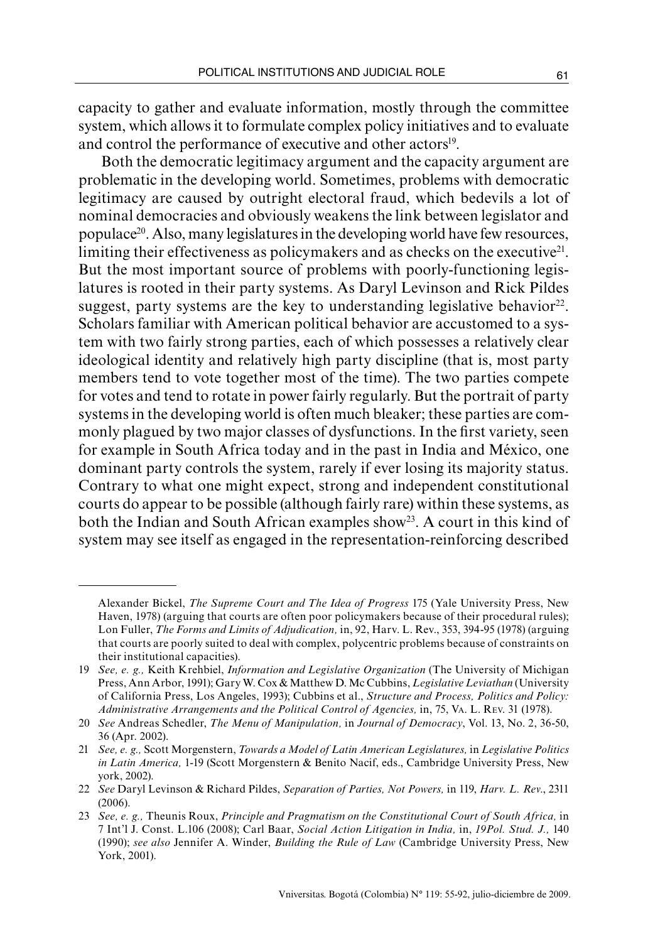capacity to gather and evaluate information, mostly through the committee system, which allows it to formulate complex policy initiatives and to evaluate and control the performance of executive and other actors<sup>19</sup>.

 Both the democratic legitimacy argument and the capacity argument are problematic in the developing world. Sometimes, problems with democratic legitimacy are caused by outright electoral fraud, which bedevils a lot of nominal democracies and obviously weakens the link between legislator and populace20. Also, many legislatures in the developing world have few resources, limiting their effectiveness as policymakers and as checks on the executive $2<sup>1</sup>$ . But the most important source of problems with poorly-functioning legislatures is rooted in their party systems. As Daryl Levinson and Rick Pildes suggest, party systems are the key to understanding legislative behavior<sup>22</sup>. Scholars familiar with American political behavior are accustomed to a system with two fairly strong parties, each of which possesses a relatively clear ideological identity and relatively high party discipline (that is, most party members tend to vote together most of the time). The two parties compete for votes and tend to rotate in power fairly regularly. But the portrait of party systems in the developing world is often much bleaker; these parties are commonly plagued by two major classes of dysfunctions. In the first variety, seen for example in South Africa today and in the past in India and México, one dominant party controls the system, rarely if ever losing its majority status. Contrary to what one might expect, strong and independent constitutional courts do appear to be possible (although fairly rare) within these systems, as both the Indian and South African examples show<sup>23</sup>. A court in this kind of system may see itself as engaged in the representation-reinforcing described

Alexander Bickel, *The Supreme Court and The Idea of Progress* 175 (Yale University Press, New Haven, 1978) (arguing that courts are often poor policymakers because of their procedural rules); Lon Fuller, *The Forms and Limits of Adjudication,* in, 92, Harv. L. Rev., 353, 394-95 (1978) (arguing that courts are poorly suited to deal with complex, polycentric problems because of constraints on their institutional capacities).

<sup>19</sup> *See, e. g.,* Keith Krehbiel, *Information and Legislative Organization* (The University of Michigan Press, Ann Arbor, 1991); Gary W. Cox & Matthew D. Mc Cubbins, *Legislative Leviathan* (University of California Press, Los Angeles, 1993); Cubbins et al., *Structure and Process, Politics and Policy: Administrative Arrangements and the Political Control of Agencies,* in, 75, Va. L. Rev. 31 (1978).

<sup>20</sup> *See* Andreas Schedler, *The Menu of Manipulation,* in *Journal of Democracy*, Vol. 13, No. 2, 36-50, 36 (Apr. 2002).

<sup>21</sup> *See, e. g.,* Scott Morgenstern, *Towards a Model of Latin American Legislatures,* in *Legislative Politics in Latin America,* 1-19 (Scott Morgenstern & Benito Nacif, eds., Cambridge University Press, New york, 2002).

<sup>22</sup> *See* Daryl Levinson & Richard Pildes, *Separation of Parties, Not Powers,* in 119, *Harv. L. Rev*., 2311 (2006).

<sup>23</sup> *See, e. g.,* Theunis Roux, *Principle and Pragmatism on the Constitutional Court of South Africa,* in 7 Int'l J. Const. L.106 (2008); Carl Baar, *Social Action Litigation in India,* in, *19Pol. Stud. J.,* 140 (1990); *see also* Jennifer A. Winder, *Building the Rule of Law* (Cambridge University Press, New York, 2001).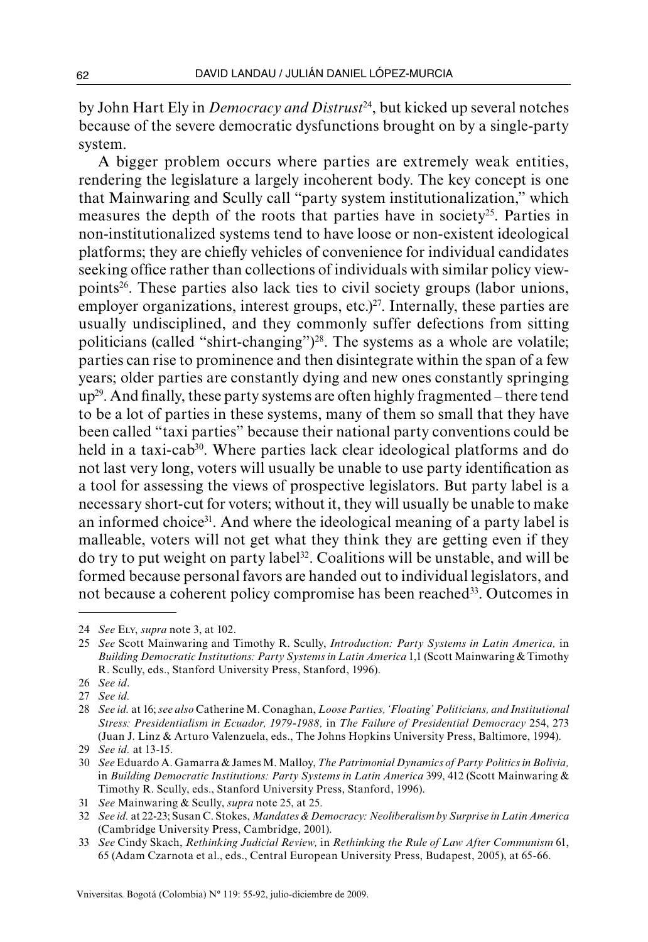by John Hart Ely in *Democracy and Distrust*24, but kicked up several notches because of the severe democratic dysfunctions brought on by a single-party system.

A bigger problem occurs where parties are extremely weak entities, rendering the legislature a largely incoherent body. The key concept is one that Mainwaring and Scully call "party system institutionalization," which measures the depth of the roots that parties have in society<sup>25</sup>. Parties in non-institutionalized systems tend to have loose or non-existent ideological platforms; they are chiefly vehicles of convenience for individual candidates seeking office rather than collections of individuals with similar policy viewpoints26. These parties also lack ties to civil society groups (labor unions, employer organizations, interest groups, etc.) $27$ . Internally, these parties are usually undisciplined, and they commonly suffer defections from sitting politicians (called "shirt-changing")<sup>28</sup>. The systems as a whole are volatile: parties can rise to prominence and then disintegrate within the span of a few years; older parties are constantly dying and new ones constantly springing  $up<sup>29</sup>$ . And finally, these party systems are often highly fragmented – there tend to be a lot of parties in these systems, many of them so small that they have been called "taxi parties" because their national party conventions could be held in a taxi-cab<sup>30</sup>. Where parties lack clear ideological platforms and do not last very long, voters will usually be unable to use party identification as a tool for assessing the views of prospective legislators. But party label is a necessary short-cut for voters; without it, they will usually be unable to make an informed choice31. And where the ideological meaning of a party label is malleable, voters will not get what they think they are getting even if they do try to put weight on party label32. Coalitions will be unstable, and will be formed because personal favors are handed out to individual legislators, and not because a coherent policy compromise has been reached<sup>33</sup>. Outcomes in

<sup>24</sup> *See* Ely, *supra* note 3, at 102.

<sup>25</sup> *See* Scott Mainwaring and Timothy R. Scully, *Introduction: Party Systems in Latin America,* in *Building Democratic Institutions: Party Systems in Latin America* 1,1 (Scott Mainwaring & Timothy R. Scully, eds., Stanford University Press, Stanford, 1996).

<sup>26</sup> *See id*.

<sup>27</sup> *See id.*

<sup>28</sup> *See id.* at 16; *see also* Catherine M. Conaghan, *Loose Parties, 'Floating' Politicians, and Institutional Stress: Presidentialism in Ecuador, 1979-1988,* in *The Failure of Presidential Democracy* 254, 273 (Juan J. Linz & Arturo Valenzuela, eds., The Johns Hopkins University Press, Baltimore, 1994).

<sup>29</sup> *See id.* at 13-15.

<sup>30</sup> *See* Eduardo A. Gamarra & James M. Malloy, *The Patrimonial Dynamics of Party Politics in Bolivia,* in *Building Democratic Institutions: Party Systems in Latin America* 399, 412 (Scott Mainwaring & Timothy R. Scully, eds., Stanford University Press, Stanford, 1996).

<sup>31</sup> *See* Mainwaring & Scully, *supra* note 25, at 25.

<sup>32</sup> *See id.* at 22-23; Susan C. Stokes, *Mandates & Democracy: Neoliberalism by Surprise in Latin America* (Cambridge University Press, Cambridge, 2001).

<sup>33</sup> *See* Cindy Skach, *Rethinking Judicial Review,* in *Rethinking the Rule of Law After Communism* 61, 65 (Adam Czarnota et al., eds., Central European University Press, Budapest, 2005), at 65-66.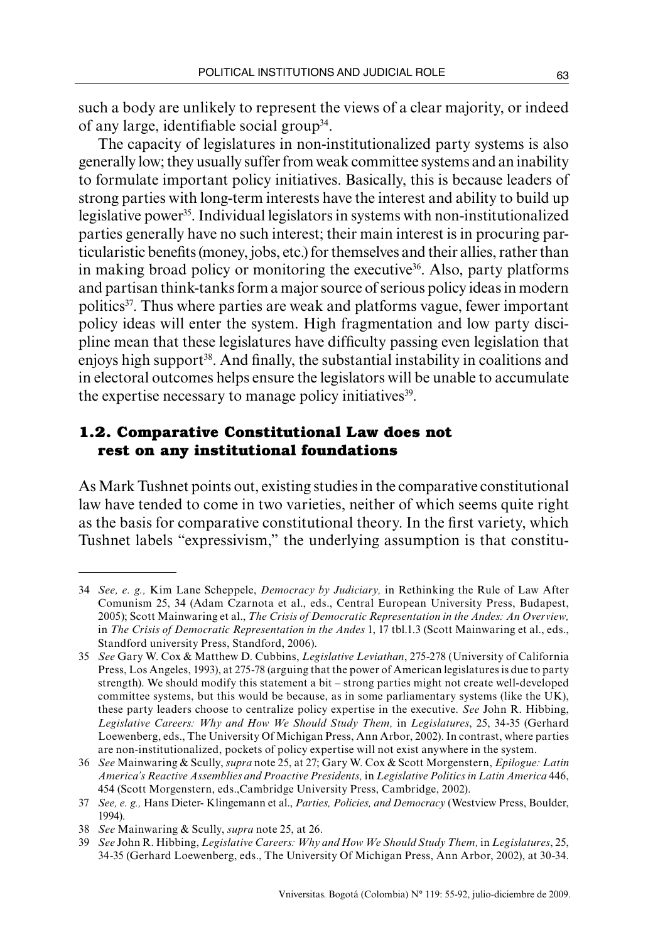such a body are unlikely to represent the views of a clear majority, or indeed of any large, identifiable social group34.

The capacity of legislatures in non-institutionalized party systems is also generally low; they usually suffer from weak committee systems and an inability to formulate important policy initiatives. Basically, this is because leaders of strong parties with long-term interests have the interest and ability to build up legislative power<sup>35</sup>. Individual legislators in systems with non-institutionalized parties generally have no such interest; their main interest is in procuring particularistic benefits (money, jobs, etc.) for themselves and their allies, rather than in making broad policy or monitoring the executive<sup>36</sup>. Also, party platforms and partisan think-tanks form a major source of serious policy ideas in modern politics37. Thus where parties are weak and platforms vague, fewer important policy ideas will enter the system. High fragmentation and low party discipline mean that these legislatures have difficulty passing even legislation that enjoys high support<sup>38</sup>. And finally, the substantial instability in coalitions and in electoral outcomes helps ensure the legislators will be unable to accumulate the expertise necessary to manage policy initiatives<sup>39</sup>.

## **1.2. Comparative Constitutional Law does not rest on any institutional foundations**

As Mark Tushnet points out, existing studies in the comparative constitutional law have tended to come in two varieties, neither of which seems quite right as the basis for comparative constitutional theory. In the first variety, which Tushnet labels "expressivism," the underlying assumption is that constitu-

<sup>34</sup> *See, e. g.,* Kim Lane Scheppele, *Democracy by Judiciary,* in Rethinking the Rule of Law After Comunism 25, 34 (Adam Czarnota et al., eds., Central European University Press, Budapest, 2005); Scott Mainwaring et al., *The Crisis of Democratic Representation in the Andes: An Overview,* in *The Crisis of Democratic Representation in the Andes* 1, 17 tbl.1.3 (Scott Mainwaring et al., eds., Standford university Press, Standford, 2006).

<sup>35</sup> *See* Gary W. Cox & Matthew D. Cubbins, *Legislative Leviathan*, 275-278 (University of California Press, Los Angeles, 1993), at 275-78 (arguing that the power of American legislatures is due to party strength). We should modify this statement a bit – strong parties might not create well-developed committee systems, but this would be because, as in some parliamentary systems (like the UK), these party leaders choose to centralize policy expertise in the executive. *See* John R. Hibbing, *Legislative Careers: Why and How We Should Study Them,* in *Legislatures*, 25, 34-35 (Gerhard Loewenberg, eds., The University Of Michigan Press, Ann Arbor, 2002). In contrast, where parties are non-institutionalized, pockets of policy expertise will not exist anywhere in the system.

<sup>36</sup> *See* Mainwaring & Scully, *supra* note 25, at 27; Gary W. Cox & Scott Morgenstern, *Epilogue: Latin America's Reactive Assemblies and Proactive Presidents,* in *Legislative Politics in Latin America* 446, 454 (Scott Morgenstern, eds.,Cambridge University Press, Cambridge, 2002).

<sup>37</sup> *See, e. g.,* Hans Dieter- Klingemann et al., *Parties, Policies, and Democracy* (Westview Press, Boulder, 1994).

<sup>38</sup> *See* Mainwaring & Scully, *supra* note 25, at 26.

<sup>39</sup> *See* John R. Hibbing, *Legislative Careers: Why and How We Should Study Them,* in *Legislatures*, 25, 34-35 (Gerhard Loewenberg, eds., The University Of Michigan Press, Ann Arbor, 2002), at 30-34.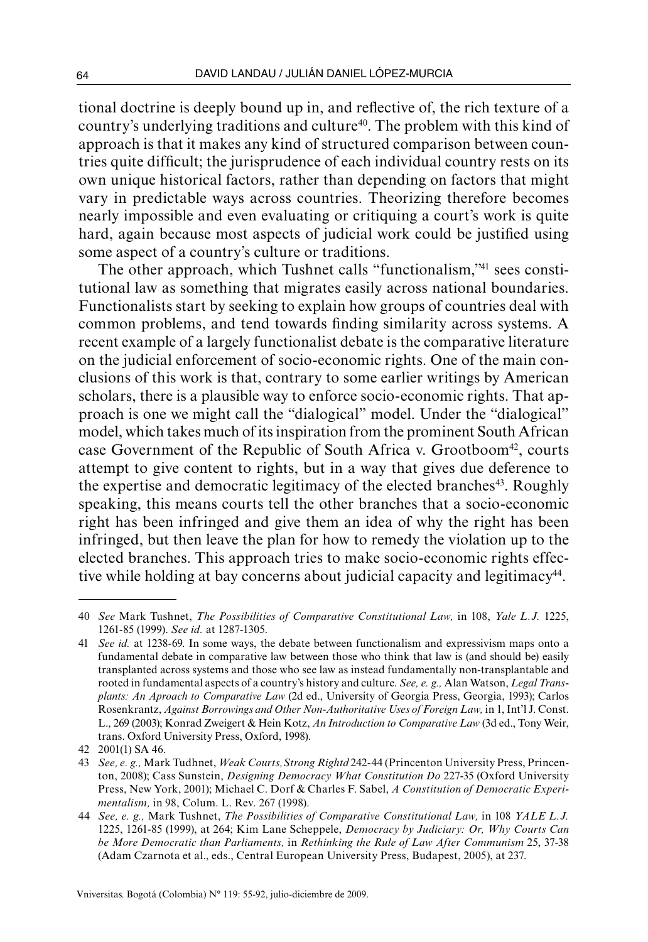tional doctrine is deeply bound up in, and reflective of, the rich texture of a country's underlying traditions and culture40. The problem with this kind of approach is that it makes any kind of structured comparison between countries quite difficult; the jurisprudence of each individual country rests on its own unique historical factors, rather than depending on factors that might vary in predictable ways across countries. Theorizing therefore becomes nearly impossible and even evaluating or critiquing a court's work is quite hard, again because most aspects of judicial work could be justified using some aspect of a country's culture or traditions.

The other approach, which Tushnet calls "functionalism,"41 sees constitutional law as something that migrates easily across national boundaries. Functionalists start by seeking to explain how groups of countries deal with common problems, and tend towards finding similarity across systems. A recent example of a largely functionalist debate is the comparative literature on the judicial enforcement of socio-economic rights. One of the main conclusions of this work is that, contrary to some earlier writings by American scholars, there is a plausible way to enforce socio-economic rights. That approach is one we might call the "dialogical" model. Under the "dialogical" model, which takes much of its inspiration from the prominent South African case Government of the Republic of South Africa v. Grootboom<sup>42</sup>, courts attempt to give content to rights, but in a way that gives due deference to the expertise and democratic legitimacy of the elected branches<sup>43</sup>. Roughly speaking, this means courts tell the other branches that a socio-economic right has been infringed and give them an idea of why the right has been infringed, but then leave the plan for how to remedy the violation up to the elected branches. This approach tries to make socio-economic rights effective while holding at bay concerns about judicial capacity and legitimacy<sup>44</sup>.

<sup>40</sup> *See* Mark Tushnet, *The Possibilities of Comparative Constitutional Law,* in 108, *Yale L.J.* 1225, 1261-85 (1999). *See id.* at 1287-1305.

<sup>41</sup> *See id.* at 1238-69. In some ways, the debate between functionalism and expressivism maps onto a fundamental debate in comparative law between those who think that law is (and should be) easily transplanted across systems and those who see law as instead fundamentally non-transplantable and rooted in fundamental aspects of a country's history and culture. *See, e. g.,* Alan Watson, *Legal Transplants: An Aproach to Comparative Law* (2d ed., University of Georgia Press, Georgia, 1993); Carlos Rosenkrantz, *Against Borrowings and Other Non-Authoritative Uses of Foreign Law,* in 1, Int'l J. Const. L., 269 (2003); Konrad Zweigert & Hein Kotz, *An Introduction to Comparative Law* (3d ed., Tony Weir, trans. Oxford University Press, Oxford, 1998).

<sup>42</sup> 2001(1) SA 46.

<sup>43</sup> *See, e. g.,* Mark Tudhnet, *Weak Courts,Strong Rightd* 242-44 (Princenton University Press, Princenton, 2008); Cass Sunstein, *Designing Democracy What Constitution Do* 227-35 (Oxford University Press, New York, 2001); Michael C. Dorf & Charles F. Sabel, *A Constitution of Democratic Experimentalism,* in 98, Colum. L. Rev. 267 (1998).

<sup>44</sup> *See, e. g.,* Mark Tushnet, *The Possibilities of Comparative Constitutional Law,* in 108 *YALE L.J.* 1225, 1261-85 (1999), at 264; Kim Lane Scheppele, *Democracy by Judiciary: Or, Why Courts Can be More Democratic than Parliaments,* in *Rethinking the Rule of Law After Communism* 25, 37-38 (Adam Czarnota et al., eds., Central European University Press, Budapest, 2005), at 237.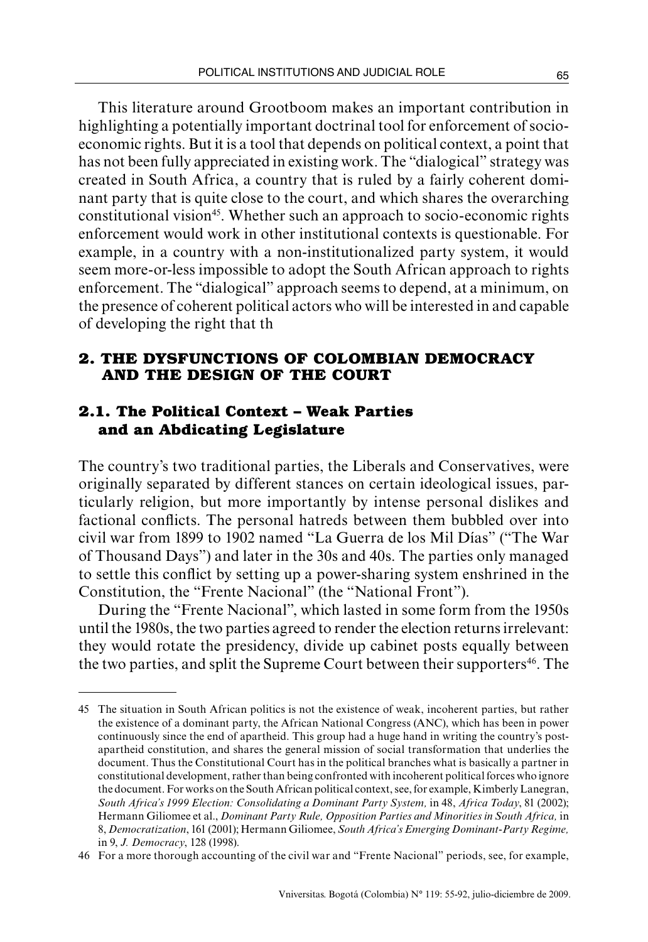This literature around Grootboom makes an important contribution in highlighting a potentially important doctrinal tool for enforcement of socioeconomic rights. But it is a tool that depends on political context, a point that has not been fully appreciated in existing work. The "dialogical" strategy was created in South Africa, a country that is ruled by a fairly coherent dominant party that is quite close to the court, and which shares the overarching constitutional vision<sup>45</sup>. Whether such an approach to socio-economic rights enforcement would work in other institutional contexts is questionable. For example, in a country with a non-institutionalized party system, it would seem more-or-less impossible to adopt the South African approach to rights enforcement. The "dialogical" approach seems to depend, at a minimum, on the presence of coherent political actors who will be interested in and capable of developing the right that th

## **2. The dysfunCtions of colombian democracy and the design of the court**

# **2.1. The Political Context – Weak Parties and an Abdicating Legislature**

The country's two traditional parties, the Liberals and Conservatives, were originally separated by different stances on certain ideological issues, particularly religion, but more importantly by intense personal dislikes and factional conflicts. The personal hatreds between them bubbled over into civil war from 1899 to 1902 named "La Guerra de los Mil Días" ("The War of Thousand Days") and later in the 30s and 40s. The parties only managed to settle this conflict by setting up a power-sharing system enshrined in the Constitution, the "Frente Nacional" (the "National Front").

During the "Frente Nacional", which lasted in some form from the 1950s until the 1980s, the two parties agreed to render the election returns irrelevant: they would rotate the presidency, divide up cabinet posts equally between the two parties, and split the Supreme Court between their supporters<sup>46</sup>. The

<sup>45</sup> The situation in South African politics is not the existence of weak, incoherent parties, but rather the existence of a dominant party, the African National Congress (ANC), which has been in power continuously since the end of apartheid. This group had a huge hand in writing the country's postapartheid constitution, and shares the general mission of social transformation that underlies the document. Thus the Constitutional Court has in the political branches what is basically a partner in constitutional development, rather than being confronted with incoherent political forces who ignore the document. For works on the South African political context, see, for example, Kimberly Lanegran, *South Africa's 1999 Election: Consolidating a Dominant Party System,* in 48, *Africa Today*, 81 (2002); Hermann Giliomee et al., *Dominant Party Rule, Opposition Parties and Minorities in South Africa,* in 8, *Democratization*, 161 (2001); Hermann Giliomee, *South Africa's Emerging Dominant-Party Regime,* in 9, *J. Democracy*, 128 (1998).

<sup>46</sup> For a more thorough accounting of the civil war and "Frente Nacional" periods, see, for example,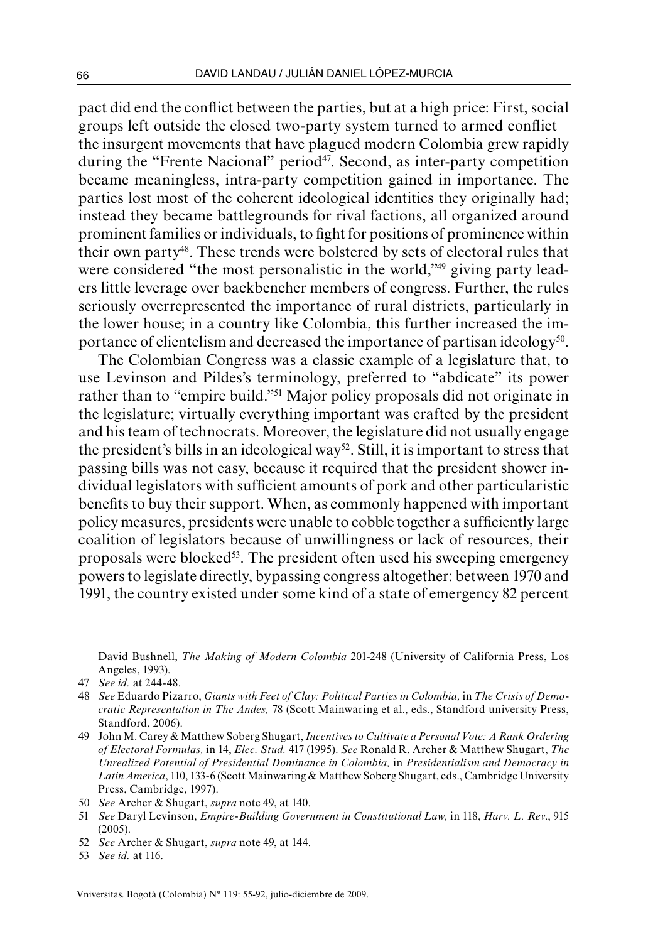pact did end the conflict between the parties, but at a high price: First, social groups left outside the closed two-party system turned to armed conflict  $$ the insurgent movements that have plagued modern Colombia grew rapidly during the "Frente Nacional" period<sup>47</sup>. Second, as inter-party competition became meaningless, intra-party competition gained in importance. The parties lost most of the coherent ideological identities they originally had; instead they became battlegrounds for rival factions, all organized around prominent families or individuals, to fight for positions of prominence within their own party48. These trends were bolstered by sets of electoral rules that were considered "the most personalistic in the world,"<sup>49</sup> giving party leaders little leverage over backbencher members of congress. Further, the rules seriously overrepresented the importance of rural districts, particularly in the lower house; in a country like Colombia, this further increased the importance of clientelism and decreased the importance of partisan ideology<sup>50</sup>.

The Colombian Congress was a classic example of a legislature that, to use Levinson and Pildes's terminology, preferred to "abdicate" its power rather than to "empire build."51 Major policy proposals did not originate in the legislature; virtually everything important was crafted by the president and his team of technocrats. Moreover, the legislature did not usually engage the president's bills in an ideological way<sup>52</sup>. Still, it is important to stress that passing bills was not easy, because it required that the president shower individual legislators with sufficient amounts of pork and other particularistic benefits to buy their support. When, as commonly happened with important policy measures, presidents were unable to cobble together a sufficiently large coalition of legislators because of unwillingness or lack of resources, their proposals were blocked<sup>53</sup>. The president often used his sweeping emergency powers to legislate directly, bypassing congress altogether: between 1970 and 1991, the country existed under some kind of a state of emergency 82 percent

David Bushnell, *The Making of Modern Colombia* 201-248 (University of California Press, Los Angeles, 1993).

<sup>47</sup> *See id.* at 244-48.

<sup>48</sup> *See* Eduardo Pizarro, *Giants with Feet of Clay: Political Parties in Colombia,* in *The Crisis of Democratic Representation in The Andes,* 78 (Scott Mainwaring et al., eds., Standford university Press, Standford, 2006).

<sup>49</sup> John M. Carey & Matthew Soberg Shugart, *Incentives to Cultivate a Personal Vote: A Rank Ordering of Electoral Formulas,* in 14, *Elec. Stud.* 417 (1995). *See* Ronald R. Archer & Matthew Shugart, *The Unrealized Potential of Presidential Dominance in Colombia,* in *Presidentialism and Democracy in Latin America*, 110, 133-6 (Scott Mainwaring & Matthew Soberg Shugart, eds., Cambridge University Press, Cambridge, 1997).

<sup>50</sup> *See* Archer & Shugart, *supra* note 49, at 140.

<sup>51</sup> *See* Daryl Levinson, *Empire-Building Government in Constitutional Law,* in 118, *Harv. L. Rev*., 915 (2005).

<sup>52</sup> *See* Archer & Shugart, *supra* note 49, at 144.

<sup>53</sup> *See id.* at 116.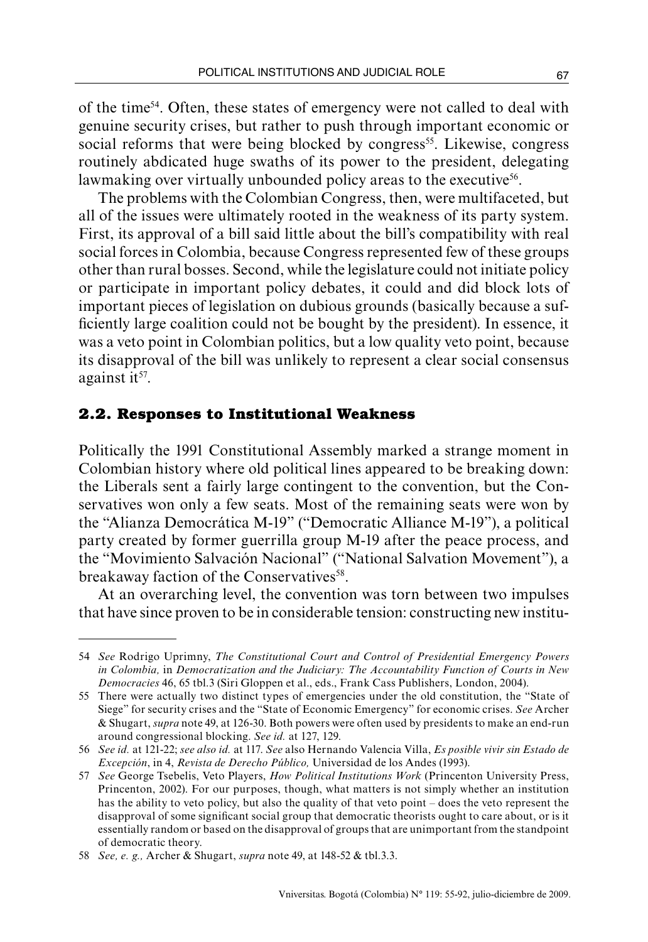of the time54. Often, these states of emergency were not called to deal with genuine security crises, but rather to push through important economic or social reforms that were being blocked by congress<sup>55</sup>. Likewise, congress routinely abdicated huge swaths of its power to the president, delegating lawmaking over virtually unbounded policy areas to the executive<sup>56</sup>.

The problems with the Colombian Congress, then, were multifaceted, but all of the issues were ultimately rooted in the weakness of its party system. First, its approval of a bill said little about the bill's compatibility with real social forces in Colombia, because Congress represented few of these groups other than rural bosses. Second, while the legislature could not initiate policy or participate in important policy debates, it could and did block lots of important pieces of legislation on dubious grounds (basically because a sufficiently large coalition could not be bought by the president). In essence, it was a veto point in Colombian politics, but a low quality veto point, because its disapproval of the bill was unlikely to represent a clear social consensus against it<sup>57</sup>.

### **2.2. Responses to Institutional Weakness**

Politically the 1991 Constitutional Assembly marked a strange moment in Colombian history where old political lines appeared to be breaking down: the Liberals sent a fairly large contingent to the convention, but the Conservatives won only a few seats. Most of the remaining seats were won by the "Alianza Democrática M-19" ("Democratic Alliance M-19"), a political party created by former guerrilla group M-19 after the peace process, and the "Movimiento Salvación Nacional" ("National Salvation Movement"), a breakaway faction of the Conservatives<sup>58</sup>.

At an overarching level, the convention was torn between two impulses that have since proven to be in considerable tension: constructing new institu-

<sup>54</sup> *See* Rodrigo Uprimny, *The Constitutional Court and Control of Presidential Emergency Powers in Colombia,* in *Democratization and the Judiciary: The Accountability Function of Courts in New Democracies* 46, 65 tbl.3 (Siri Gloppen et al., eds., Frank Cass Publishers, London, 2004).

<sup>55</sup> There were actually two distinct types of emergencies under the old constitution, the "State of Siege" for security crises and the "State of Economic Emergency" for economic crises. *See* Archer & Shugart, *supra* note 49, at 126-30. Both powers were often used by presidents to make an end-run around congressional blocking. *See id.* at 127, 129.

<sup>56</sup> *See id.* at 121-22; *see also id.* at 117. *See* also Hernando Valencia Villa, *Es posible vivir sin Estado de Excepción*, in 4, *Revista de Derecho Público,* Universidad de los Andes (1993).

<sup>57</sup> *See* George Tsebelis, Veto Players, *How Political Institutions Work* (Princenton University Press, Princenton, 2002). For our purposes, though, what matters is not simply whether an institution has the ability to veto policy, but also the quality of that veto point – does the veto represent the disapproval of some significant social group that democratic theorists ought to care about, or is it essentially random or based on the disapproval of groups that are unimportant from the standpoint of democratic theory.

<sup>58</sup> *See, e. g.,* Archer & Shugart, *supra* note 49, at 148-52 & tbl.3.3.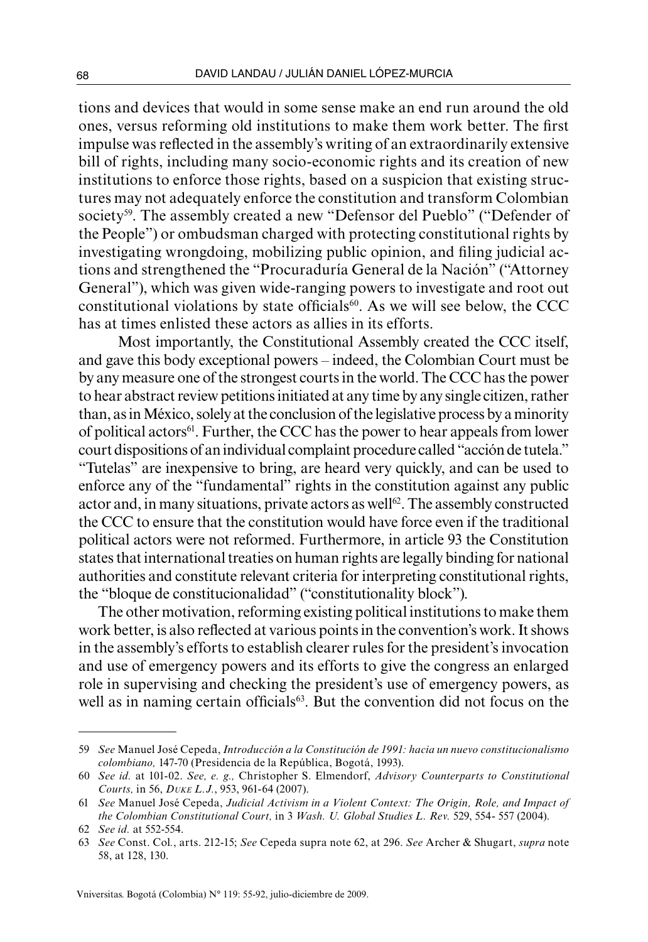tions and devices that would in some sense make an end run around the old ones, versus reforming old institutions to make them work better. The first impulse was reflected in the assembly's writing of an extraordinarily extensive bill of rights, including many socio-economic rights and its creation of new institutions to enforce those rights, based on a suspicion that existing structures may not adequately enforce the constitution and transform Colombian society<sup>59</sup>. The assembly created a new "Defensor del Pueblo" ("Defender of the People") or ombudsman charged with protecting constitutional rights by investigating wrongdoing, mobilizing public opinion, and filing judicial actions and strengthened the "Procuraduría General de la Nación" ("Attorney General"), which was given wide-ranging powers to investigate and root out constitutional violations by state officials $60$ . As we will see below, the CCC has at times enlisted these actors as allies in its efforts.

Most importantly, the Constitutional Assembly created the CCC itself, and gave this body exceptional powers – indeed, the Colombian Court must be by any measure one of the strongest courts in the world. The CCC has the power to hear abstract review petitions initiated at any time by any single citizen, rather than, as in México, solely at the conclusion of the legislative process by a minority of political actors<sup>61</sup>. Further, the CCC has the power to hear appeals from lower court dispositions of an individual complaint procedure called "acción de tutela." "Tutelas" are inexpensive to bring, are heard very quickly, and can be used to enforce any of the "fundamental" rights in the constitution against any public actor and, in many situations, private actors as well<sup>62</sup>. The assembly constructed the CCC to ensure that the constitution would have force even if the traditional political actors were not reformed. Furthermore, in article 93 the Constitution states that international treaties on human rights are legally binding for national authorities and constitute relevant criteria for interpreting constitutional rights, the "bloque de constitucionalidad" ("constitutionality block").

The other motivation, reforming existing political institutions to make them work better, is also reflected at various points in the convention's work. It shows in the assembly's efforts to establish clearer rules for the president's invocation and use of emergency powers and its efforts to give the congress an enlarged role in supervising and checking the president's use of emergency powers, as well as in naming certain officials<sup>63</sup>. But the convention did not focus on the

<sup>59</sup> *See* Manuel José Cepeda, *Introducción a la Constitución de 1991: hacia un nuevo constitucionalismo colombiano,* 147-70 (Presidencia de la República, Bogotá, 1993).

<sup>60</sup> *See id.* at 101-02. *See, e. g.,* Christopher S. Elmendorf, *Advisory Counterparts to Constitutional Courts,* in 56, *Duke L.J.*, 953, 961-64 (2007).

<sup>61</sup> *See* Manuel José Cepeda, *Judicial Activism in a Violent Context: The Origin, Role, and Impact of the Colombian Constitutional Court,* in 3 *Wash. U. Global Studies L. Rev.* 529, 554- 557 (2004).

<sup>62</sup> *See id.* at 552-554.

<sup>63</sup> *See* Const. Col*.*, arts. 212-15; *See* Cepeda supra note 62, at 296. *See* Archer & Shugart, *supra* note 58, at 128, 130.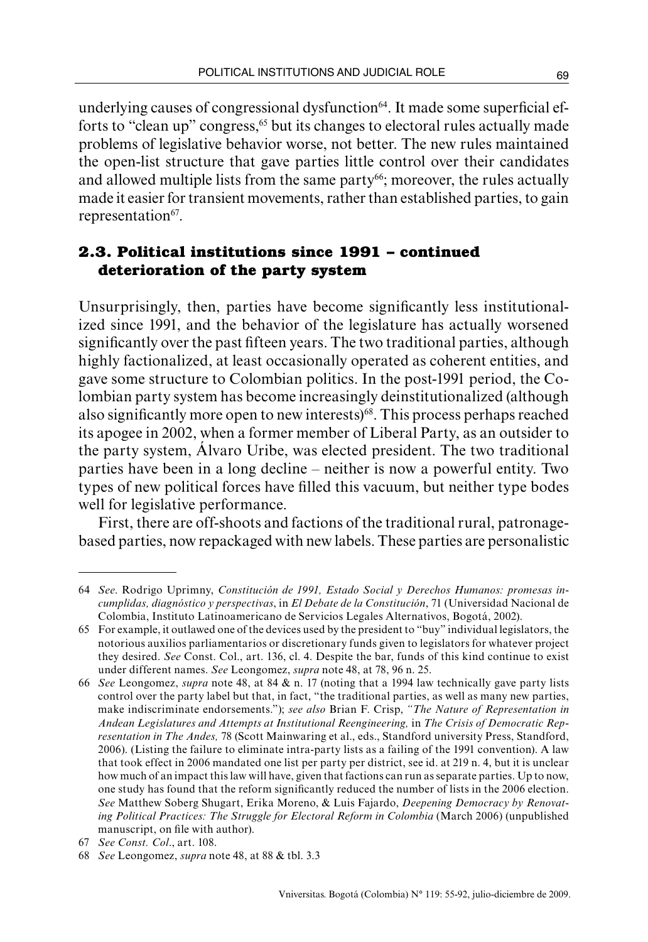underlying causes of congressional dysfunction<sup>64</sup>. It made some superficial efforts to "clean up" congress,<sup>65</sup> but its changes to electoral rules actually made problems of legislative behavior worse, not better. The new rules maintained the open-list structure that gave parties little control over their candidates and allowed multiple lists from the same party<sup>66</sup>; moreover, the rules actually made it easier for transient movements, rather than established parties, to gain representation<sup>67</sup>.

# **2.3. Political institutions since 1991 – continued deterioration of the party system**

Unsurprisingly, then, parties have become significantly less institutionalized since 1991, and the behavior of the legislature has actually worsened significantly over the past fifteen years. The two traditional parties, although highly factionalized, at least occasionally operated as coherent entities, and gave some structure to Colombian politics. In the post-1991 period, the Colombian party system has become increasingly deinstitutionalized (although also significantly more open to new interests)<sup>68</sup>. This process perhaps reached its apogee in 2002, when a former member of Liberal Party, as an outsider to the party system, Álvaro Uribe, was elected president. The two traditional parties have been in a long decline – neither is now a powerful entity. Two types of new political forces have filled this vacuum, but neither type bodes well for legislative performance.

First, there are off-shoots and factions of the traditional rural, patronagebased parties, now repackaged with new labels. These parties are personalistic

<sup>64</sup> *See*. Rodrigo Uprimny, *Constitución de 1991, Estado Social y Derechos Humanos: promesas incumplidas, diagnóstico y perspectivas*, in *El Debate de la Constitución*, 71 (Universidad Nacional de Colombia, Instituto Latinoamericano de Servicios Legales Alternativos, Bogotá, 2002).

<sup>65</sup> For example, it outlawed one of the devices used by the president to "buy" individual legislators, the notorious auxilios parliamentarios or discretionary funds given to legislators for whatever project they desired. *See* Const. Col., art. 136, cl. 4. Despite the bar, funds of this kind continue to exist under different names. *See* Leongomez, *supra* note 48, at 78, 96 n. 25.

<sup>66</sup> *See* Leongomez, *supra* note 48, at 84 & n. 17 (noting that a 1994 law technically gave party lists control over the party label but that, in fact, "the traditional parties, as well as many new parties, make indiscriminate endorsements."); *see also* Brian F. Crisp, *"The Nature of Representation in Andean Legislatures and Attempts at Institutional Reengineering,* in *The Crisis of Democratic Representation in The Andes,* 78 (Scott Mainwaring et al., eds., Standford university Press, Standford, 2006). (Listing the failure to eliminate intra-party lists as a failing of the 1991 convention). A law that took effect in 2006 mandated one list per party per district, see id. at 219 n. 4, but it is unclear how much of an impact this law will have, given that factions can run as separate parties. Up to now, one study has found that the reform significantly reduced the number of lists in the 2006 election. *See* Matthew Soberg Shugart, Erika Moreno, & Luis Fajardo, *Deepening Democracy by Renovating Political Practices: The Struggle for Electoral Reform in Colombia* (March 2006) (unpublished manuscript, on file with author).

<sup>67</sup> *See Const. Col*., art. 108.

<sup>68</sup> *See* Leongomez, *supra* note 48, at 88 & tbl. 3.3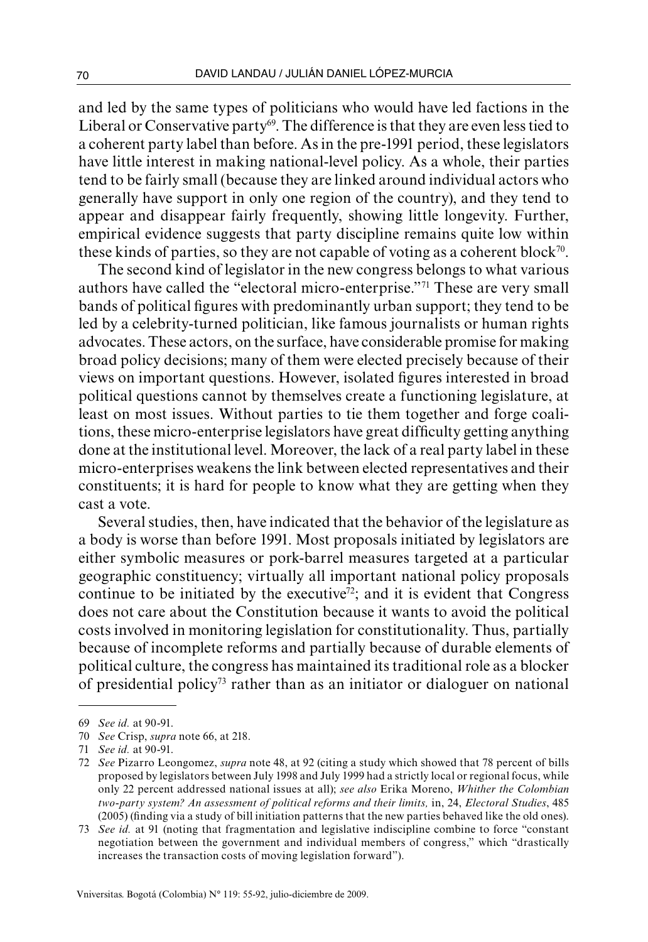and led by the same types of politicians who would have led factions in the Liberal or Conservative party<sup>69</sup>. The difference is that they are even less tied to a coherent party label than before. As in the pre-1991 period, these legislators have little interest in making national-level policy. As a whole, their parties tend to be fairly small (because they are linked around individual actors who generally have support in only one region of the country), and they tend to appear and disappear fairly frequently, showing little longevity. Further, empirical evidence suggests that party discipline remains quite low within these kinds of parties, so they are not capable of voting as a coherent block<sup>70</sup>.

The second kind of legislator in the new congress belongs to what various authors have called the "electoral micro-enterprise."71 These are very small bands of political figures with predominantly urban support; they tend to be led by a celebrity-turned politician, like famous journalists or human rights advocates. These actors, on the surface, have considerable promise for making broad policy decisions; many of them were elected precisely because of their views on important questions. However, isolated figures interested in broad political questions cannot by themselves create a functioning legislature, at least on most issues. Without parties to tie them together and forge coalitions, these micro-enterprise legislators have great difficulty getting anything done at the institutional level. Moreover, the lack of a real party label in these micro-enterprises weakens the link between elected representatives and their constituents; it is hard for people to know what they are getting when they cast a vote.

Several studies, then, have indicated that the behavior of the legislature as a body is worse than before 1991. Most proposals initiated by legislators are either symbolic measures or pork-barrel measures targeted at a particular geographic constituency; virtually all important national policy proposals continue to be initiated by the executive<sup> $\bar{z}$ </sup>; and it is evident that Congress does not care about the Constitution because it wants to avoid the political costs involved in monitoring legislation for constitutionality. Thus, partially because of incomplete reforms and partially because of durable elements of political culture, the congress has maintained its traditional role as a blocker of presidential policy73 rather than as an initiator or dialoguer on national

<sup>69</sup> *See id.* at 90-91.

<sup>70</sup> *See* Crisp, *supra* note 66, at 218.

<sup>71</sup> *See id.* at 90-91.

<sup>72</sup> *See* Pizarro Leongomez, *supra* note 48, at 92 (citing a study which showed that 78 percent of bills proposed by legislators between July 1998 and July 1999 had a strictly local or regional focus, while only 22 percent addressed national issues at all); *see also* Erika Moreno, *Whither the Colombian two-party system? An assessment of political reforms and their limits,* in, 24, *Electoral Studies*, 485 (2005) (finding via a study of bill initiation patterns that the new parties behaved like the old ones).

<sup>73</sup> *See id.* at 91 (noting that fragmentation and legislative indiscipline combine to force "constant negotiation between the government and individual members of congress," which "drastically increases the transaction costs of moving legislation forward").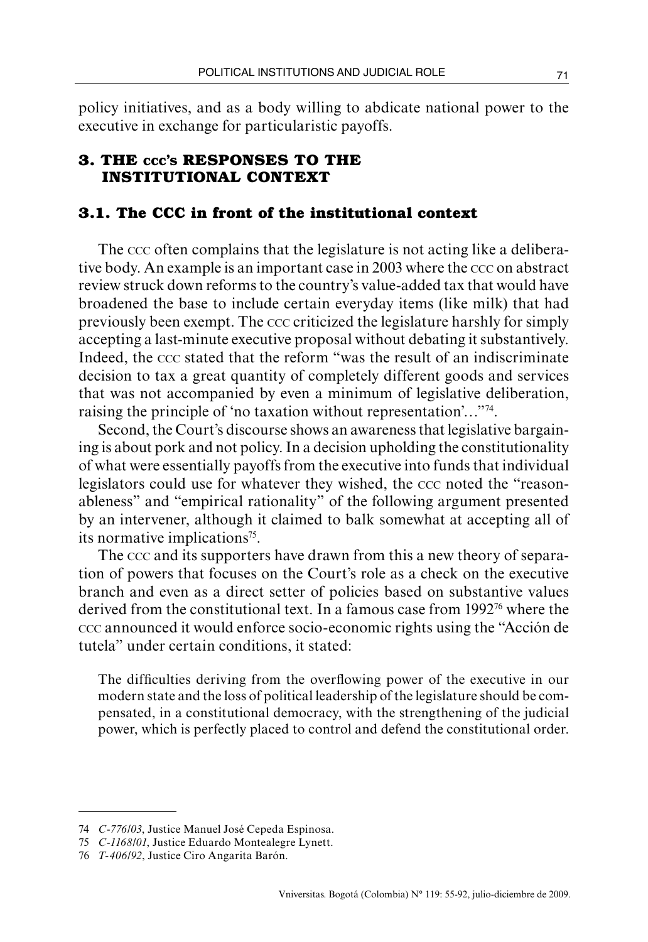policy initiatives, and as a body willing to abdicate national power to the executive in exchange for particularistic payoffs.

## **3. The ccc's responses to the institutional context**

## **3.1. The CCC in front of the institutional context**

The ccc often complains that the legislature is not acting like a deliberative body. An example is an important case in 2003 where the ccc on abstract review struck down reforms to the country's value-added tax that would have broadened the base to include certain everyday items (like milk) that had previously been exempt. The ccc criticized the legislature harshly for simply accepting a last-minute executive proposal without debating it substantively. Indeed, the ccc stated that the reform "was the result of an indiscriminate decision to tax a great quantity of completely different goods and services that was not accompanied by even a minimum of legislative deliberation, raising the principle of 'no taxation without representation'…"74.

Second, the Court's discourse shows an awareness that legislative bargaining is about pork and not policy. In a decision upholding the constitutionality of what were essentially payoffs from the executive into funds that individual legislators could use for whatever they wished, the ccc noted the "reasonableness" and "empirical rationality" of the following argument presented by an intervener, although it claimed to balk somewhat at accepting all of its normative implications<sup>75</sup>.

The ccc and its supporters have drawn from this a new theory of separation of powers that focuses on the Court's role as a check on the executive branch and even as a direct setter of policies based on substantive values derived from the constitutional text. In a famous case from  $1992<sup>76</sup>$  where the ccc announced it would enforce socio-economic rights using the "Acción de tutela" under certain conditions, it stated:

The difficulties deriving from the overflowing power of the executive in our modern state and the loss of political leadership of the legislature should be compensated, in a constitutional democracy, with the strengthening of the judicial power, which is perfectly placed to control and defend the constitutional order.

<sup>74</sup> *C-776/03*, Justice Manuel José Cepeda Espinosa.

<sup>75</sup> *C-1168/01*, Justice Eduardo Montealegre Lynett.

<sup>76</sup> *T-406/92*, Justice Ciro Angarita Barón.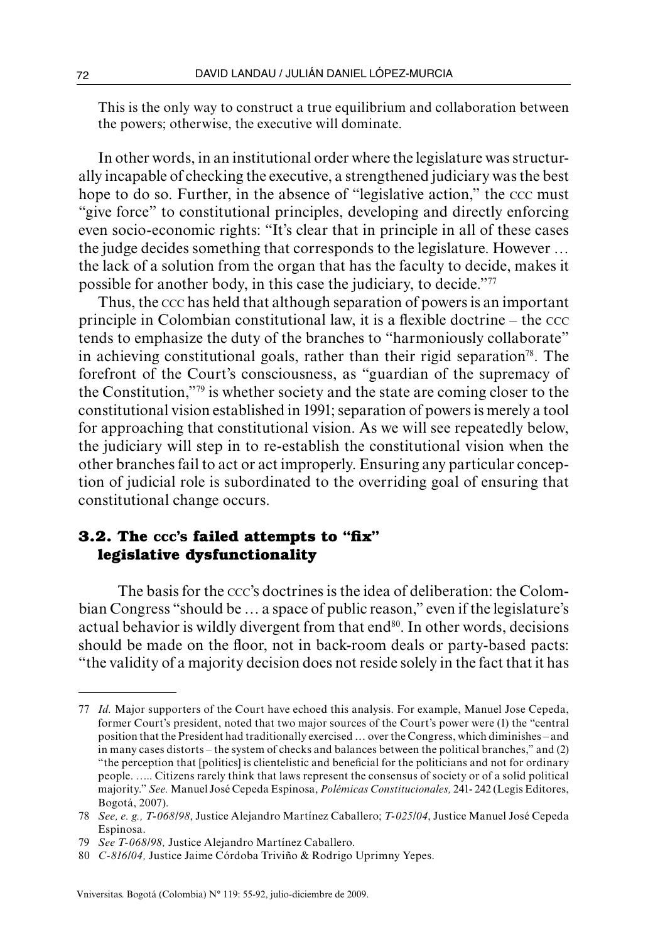This is the only way to construct a true equilibrium and collaboration between the powers; otherwise, the executive will dominate.

In other words, in an institutional order where the legislature was structurally incapable of checking the executive, a strengthened judiciary was the best hope to do so. Further, in the absence of "legislative action," the ccc must "give force" to constitutional principles, developing and directly enforcing even socio-economic rights: "It's clear that in principle in all of these cases the judge decides something that corresponds to the legislature. However … the lack of a solution from the organ that has the faculty to decide, makes it possible for another body, in this case the judiciary, to decide."77

Thus, the ccc has held that although separation of powers is an important principle in Colombian constitutional law, it is a flexible doctrine – the ccc tends to emphasize the duty of the branches to "harmoniously collaborate" in achieving constitutional goals, rather than their rigid separation<sup>78</sup>. The forefront of the Court's consciousness, as "guardian of the supremacy of the Constitution,"79 is whether society and the state are coming closer to the constitutional vision established in 1991; separation of powers is merely a tool for approaching that constitutional vision. As we will see repeatedly below, the judiciary will step in to re-establish the constitutional vision when the other branches fail to act or act improperly. Ensuring any particular conception of judicial role is subordinated to the overriding goal of ensuring that constitutional change occurs.

## **3.2. The ccc's failed attempts to "fix" legislative dysfunctionality**

The basis for the ccc's doctrines is the idea of deliberation: the Colombian Congress "should be … a space of public reason," even if the legislature's actual behavior is wildly divergent from that  $end<sup>80</sup>$ . In other words, decisions should be made on the floor, not in back-room deals or party-based pacts: "the validity of a majority decision does not reside solely in the fact that it has

<sup>77</sup> *Id.* Major supporters of the Court have echoed this analysis. For example, Manuel Jose Cepeda, former Court's president, noted that two major sources of the Court's power were (1) the "central position that the President had traditionally exercised … over the Congress, which diminishes – and in many cases distorts – the system of checks and balances between the political branches," and (2) "the perception that [politics] is clientelistic and beneficial for the politicians and not for ordinary people. ….. Citizens rarely think that laws represent the consensus of society or of a solid political majority." *See.* Manuel José Cepeda Espinosa, *Polémicas Constitucionales,* 241- 242 (Legis Editores, Bogotá, 2007).

<sup>78</sup> *See, e. g., T-068/98*, Justice Alejandro Martínez Caballero; *T-025/04*, Justice Manuel José Cepeda Espinosa.

<sup>79</sup> *See T-068/98,* Justice Alejandro Martínez Caballero.

<sup>80</sup> *C-816/04,* Justice Jaime Córdoba Triviño & Rodrigo Uprimny Yepes.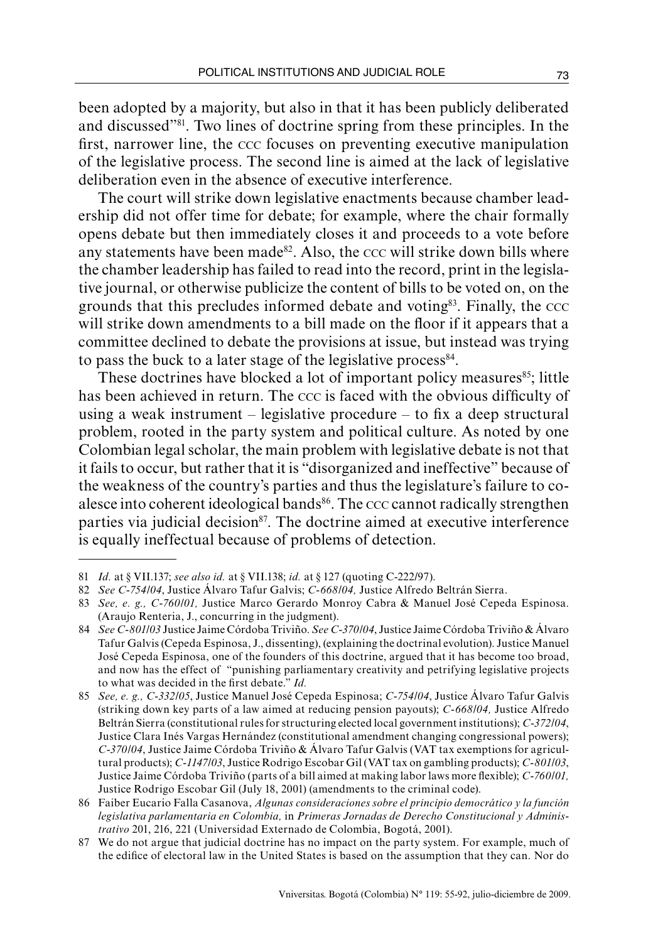been adopted by a majority, but also in that it has been publicly deliberated and discussed"81. Two lines of doctrine spring from these principles. In the first, narrower line, the ccc focuses on preventing executive manipulation of the legislative process. The second line is aimed at the lack of legislative deliberation even in the absence of executive interference.

The court will strike down legislative enactments because chamber leadership did not offer time for debate; for example, where the chair formally opens debate but then immediately closes it and proceeds to a vote before any statements have been made<sup>82</sup>. Also, the  $ccc$  will strike down bills where the chamber leadership has failed to read into the record, print in the legislative journal, or otherwise publicize the content of bills to be voted on, on the grounds that this precludes informed debate and voting $83$ . Finally, the  $\csc$ will strike down amendments to a bill made on the floor if it appears that a committee declined to debate the provisions at issue, but instead was trying to pass the buck to a later stage of the legislative process<sup>84</sup>.

These doctrines have blocked a lot of important policy measures $85$ ; little has been achieved in return. The ccc is faced with the obvious difficulty of using a weak instrument – legislative procedure – to fix a deep structural problem, rooted in the party system and political culture. As noted by one Colombian legal scholar, the main problem with legislative debate is not that it fails to occur, but rather that it is "disorganized and ineffective" because of the weakness of the country's parties and thus the legislature's failure to coalesce into coherent ideological bands<sup>86</sup>. The  $ccc$  cannot radically strengthen parties via judicial decision<sup>87</sup>. The doctrine aimed at executive interference is equally ineffectual because of problems of detection.

<sup>81</sup> *Id.* at § VII.137; *see also id.* at § VII.138; *id.* at § 127 (quoting C-222/97).

<sup>82</sup> *See C-754/04*, Justice Álvaro Tafur Galvis; *C-668/04,* Justice Alfredo Beltrán Sierra.

<sup>83</sup> *See, e. g., C-760/01,* Justice Marco Gerardo Monroy Cabra & Manuel José Cepeda Espinosa. (Araujo Renteria, J., concurring in the judgment).

<sup>84</sup> *See C-801/03* Justice Jaime Córdoba Triviño. *See C-370/04*, Justice Jaime Córdoba Triviño & Álvaro Tafur Galvis (Cepeda Espinosa, J., dissenting), (explaining the doctrinal evolution). Justice Manuel José Cepeda Espinosa, one of the founders of this doctrine, argued that it has become too broad, and now has the effect of "punishing parliamentary creativity and petrifying legislative projects to what was decided in the first debate." *Id.*

<sup>85</sup> *See, e. g., C-332/05*, Justice Manuel José Cepeda Espinosa; *C-754/04*, Justice Álvaro Tafur Galvis (striking down key parts of a law aimed at reducing pension payouts); *C-668/04,* Justice Alfredo Beltrán Sierra (constitutional rules for structuring elected local government institutions); *C-372/04*, Justice Clara Inés Vargas Hernández (constitutional amendment changing congressional powers); *C-370/04*, Justice Jaime Córdoba Triviño & Álvaro Tafur Galvis (VAT tax exemptions for agricultural products); *C-1147/03*, Justice Rodrigo Escobar Gil (VAT tax on gambling products); *C-801/03*, Justice Jaime Córdoba Triviño (parts of a bill aimed at making labor laws more flexible); *C-760/01,*  Justice Rodrigo Escobar Gil (July 18, 2001) (amendments to the criminal code).

<sup>86</sup> Faiber Eucario Falla Casanova, *Algunas consideraciones sobre el principio democrático y la función legislativa parlamentaria en Colombia,* in *Primeras Jornadas de Derecho Constitucional y Administrativo* 201, 216, 221 (Universidad Externado de Colombia, Bogotá, 2001).

<sup>87</sup> We do not argue that judicial doctrine has no impact on the party system. For example, much of the edifice of electoral law in the United States is based on the assumption that they can. Nor do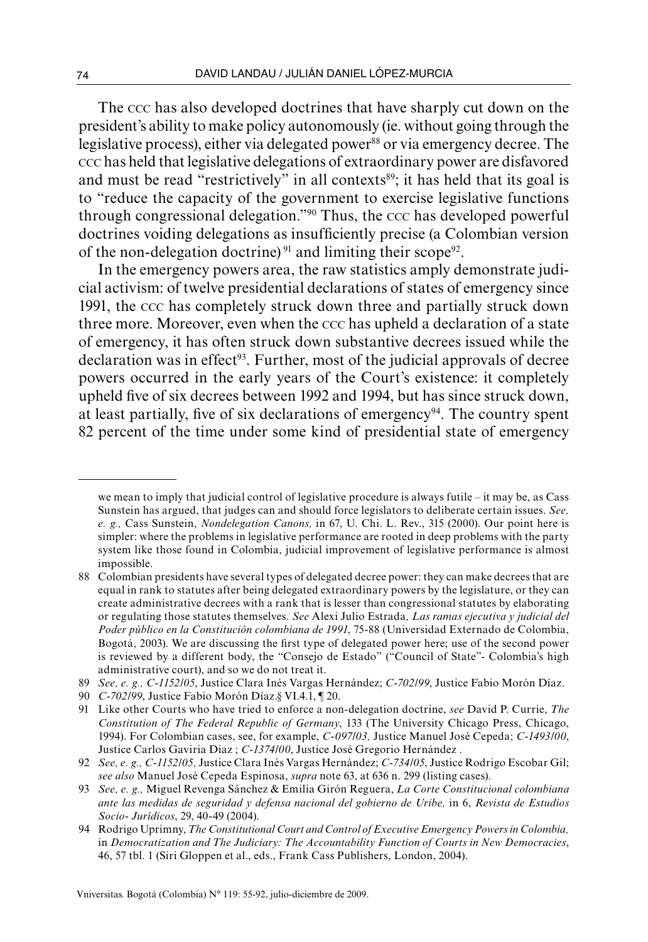The ccc has also developed doctrines that have sharply cut down on the president's ability to make policy autonomously (ie. without going through the legislative process), either via delegated power<sup>88</sup> or via emergency decree. The ccc has held that legislative delegations of extraordinary power are disfavored and must be read "restrictively" in all contexts<sup>89</sup>; it has held that its goal is to "reduce the capacity of the government to exercise legislative functions through congressional delegation."90 Thus, the ccc has developed powerful doctrines voiding delegations as insufficiently precise (a Colombian version of the non-delegation doctrine)<sup>91</sup> and limiting their scope<sup>92</sup>.

In the emergency powers area, the raw statistics amply demonstrate judicial activism: of twelve presidential declarations of states of emergency since 1991, the ccc has completely struck down three and partially struck down three more. Moreover, even when the ccc has upheld a declaration of a state of emergency, it has often struck down substantive decrees issued while the  $\alpha$  declaration was in effect<sup>93</sup>. Further, most of the judicial approvals of decree powers occurred in the early years of the Court's existence: it completely upheld five of six decrees between 1992 and 1994, but has since struck down, at least partially, five of six declarations of emergency<sup>94</sup>. The country spent 82 percent of the time under some kind of presidential state of emergency

we mean to imply that judicial control of legislative procedure is always futile – it may be, as Cass Sunstein has argued, that judges can and should force legislators to deliberate certain issues. *See, e. g.,* Cass Sunstein, *Nondelegation Canons,* in 67, U. Chi. L. Rev., 315 (2000). Our point here is simpler: where the problems in legislative performance are rooted in deep problems with the party system like those found in Colombia, judicial improvement of legislative performance is almost impossible.

<sup>88</sup> Colombian presidents have several types of delegated decree power: they can make decrees that are equal in rank to statutes after being delegated extraordinary powers by the legislature, or they can create administrative decrees with a rank that is lesser than congressional statutes by elaborating or regulating those statutes themselves. *See* Alexi Julio Estrada*, Las ramas ejecutiva y judicial del Poder público en la Constitución colombiana de 1991*, 75-88 (Universidad Externado de Colombia, Bogotá, 2003). We are discussing the first type of delegated power here; use of the second power is reviewed by a different body, the "Consejo de Estado" ("Council of State"- Colombia's high administrative court), and so we do not treat it.

<sup>89</sup> *See, e. g., C-1152/05*, Justice Clara Inés Vargas Hernández; *C-702/99*, Justice Fabio Morón Díaz.

<sup>90</sup> *C-702/99*, Justice Fabio Morón Díaz.§ VI.4.1, ¶ 20.

<sup>91</sup> Like other Courts who have tried to enforce a non-delegation doctrine, *see* David P. Currie, *The Constitution of The Federal Republic of Germany*, 133 (The University Chicago Press, Chicago, 1994). For Colombian cases, see, for example, *C-097/03,* Justice Manuel José Cepeda; *C-1493/00*, Justice Carlos Gaviria Diaz ; *C-1374/00*, Justice José Gregorio Hernández .

<sup>92</sup> *See, e. g., C-1152/05,* Justice Clara Inés Vargas Hernández; *C-734/05*, Justice Rodrigo Escobar Gil; *see also* Manuel José Cepeda Espinosa, *supra* note 63, at 636 n. 299 (listing cases).

<sup>93</sup> *See, e. g.,* Miguel Revenga Sánchez & Emilia Girón Reguera, *La Corte Constitucional colombiana ante las medidas de seguridad y defensa nacional del gobierno de Uribe,* in 6, *Revista de Estudios Socio- Jurídicos*, 29, 40-49 (2004).

<sup>94</sup> Rodrigo Uprimny, *The Constitutional Court and Control of Executive Emergency Powers in Colombia,* in *Democratization and The Judiciary: The Accountability Function of Courts in New Democracies*, 46, 57 tbl. 1 (Siri Gloppen et al., eds., Frank Cass Publishers, London, 2004).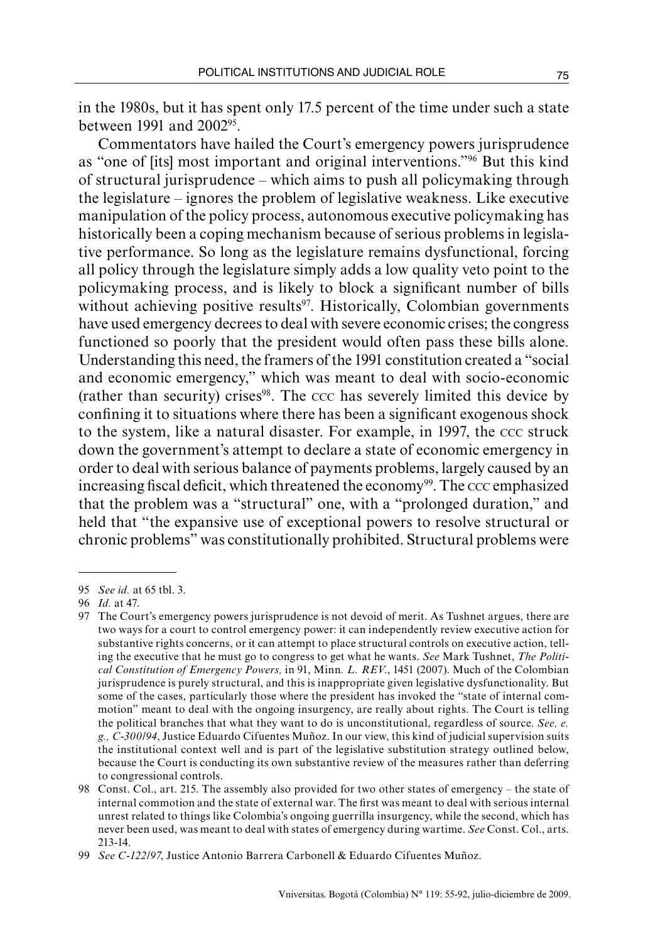in the 1980s, but it has spent only 17.5 percent of the time under such a state between 1991 and 200295.

Commentators have hailed the Court's emergency powers jurisprudence as "one of [its] most important and original interventions."96 But this kind of structural jurisprudence – which aims to push all policymaking through the legislature – ignores the problem of legislative weakness. Like executive manipulation of the policy process, autonomous executive policymaking has historically been a coping mechanism because of serious problems in legislative performance. So long as the legislature remains dysfunctional, forcing all policy through the legislature simply adds a low quality veto point to the policymaking process, and is likely to block a significant number of bills without achieving positive results $97$ . Historically, Colombian governments have used emergency decrees to deal with severe economic crises; the congress functioned so poorly that the president would often pass these bills alone. Understanding this need, the framers of the 1991 constitution created a "social and economic emergency," which was meant to deal with socio-economic (rather than security) crises $98$ . The ccc has severely limited this device by confining it to situations where there has been a significant exogenous shock to the system, like a natural disaster. For example, in 1997, the ccc struck down the government's attempt to declare a state of economic emergency in order to deal with serious balance of payments problems, largely caused by an increasing fiscal deficit, which threatened the economy<sup>99</sup>. The ccc emphasized that the problem was a "structural" one, with a "prolonged duration," and held that "the expansive use of exceptional powers to resolve structural or chronic problems" was constitutionally prohibited. Structural problems were

<sup>95</sup> *See id.* at 65 tbl. 3.

<sup>96</sup> *Id.* at 47.

<sup>97</sup> The Court's emergency powers jurisprudence is not devoid of merit. As Tushnet argues, there are two ways for a court to control emergency power: it can independently review executive action for substantive rights concerns, or it can attempt to place structural controls on executive action, telling the executive that he must go to congress to get what he wants. *See* Mark Tushnet, *The Political Constitution of Emergency Powers,* in 91, Minn*. L. REV*., 1451 (2007). Much of the Colombian jurisprudence is purely structural, and this is inappropriate given legislative dysfunctionality. But some of the cases, particularly those where the president has invoked the "state of internal commotion" meant to deal with the ongoing insurgency, are really about rights. The Court is telling the political branches that what they want to do is unconstitutional, regardless of source. *See, e. g., C-300/94*, Justice Eduardo Cifuentes Muñoz. In our view, this kind of judicial supervision suits the institutional context well and is part of the legislative substitution strategy outlined below, because the Court is conducting its own substantive review of the measures rather than deferring to congressional controls.

<sup>98</sup> Const. Col., art. 215. The assembly also provided for two other states of emergency – the state of internal commotion and the state of external war. The first was meant to deal with serious internal unrest related to things like Colombia's ongoing guerrilla insurgency, while the second, which has never been used, was meant to deal with states of emergency during wartime. *See* Const. Col., arts. 213-14.

<sup>99</sup> *See C-122/97*, Justice Antonio Barrera Carbonell & Eduardo Cifuentes Muñoz.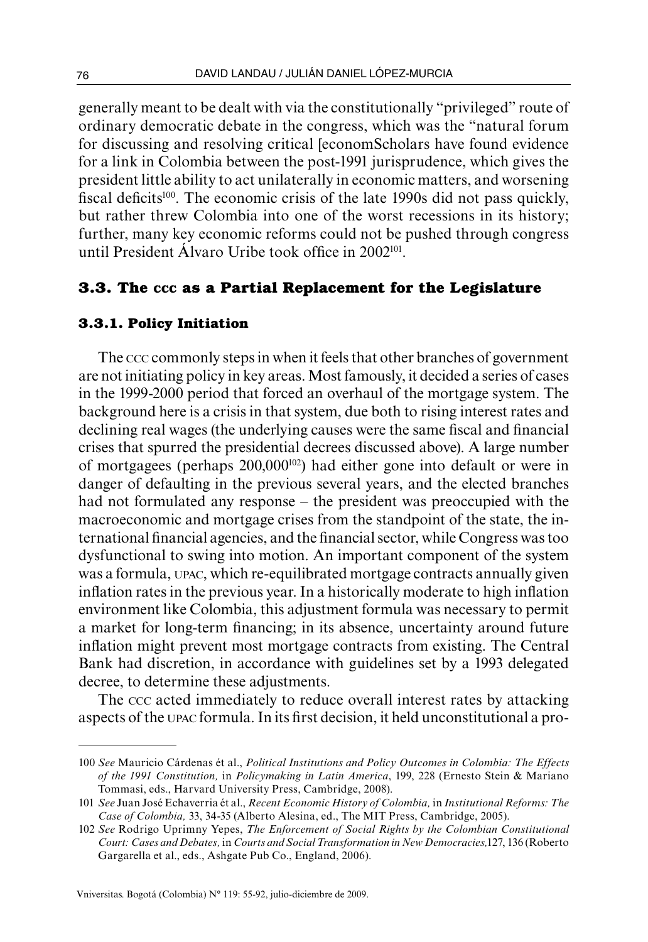generally meant to be dealt with via the constitutionally "privileged" route of ordinary democratic debate in the congress, which was the "natural forum for discussing and resolving critical [economScholars have found evidence for a link in Colombia between the post-1991 jurisprudence, which gives the president little ability to act unilaterally in economic matters, and worsening fiscal deficits<sup>100</sup>. The economic crisis of the late 1990s did not pass quickly, but rather threw Colombia into one of the worst recessions in its history; further, many key economic reforms could not be pushed through congress until President Álvaro Uribe took office in 2002101.

## **3.3. The ccc as a Partial Replacement for the Legislature**

### **3.3.1. Policy Initiation**

The ccc commonly steps in when it feels that other branches of government are not initiating policy in key areas. Most famously, it decided a series of cases in the 1999-2000 period that forced an overhaul of the mortgage system. The background here is a crisis in that system, due both to rising interest rates and declining real wages (the underlying causes were the same fiscal and financial crises that spurred the presidential decrees discussed above). A large number of mortgagees (perhaps 200,000102) had either gone into default or were in danger of defaulting in the previous several years, and the elected branches had not formulated any response – the president was preoccupied with the macroeconomic and mortgage crises from the standpoint of the state, the international financial agencies, and the financial sector, while Congress was too dysfunctional to swing into motion. An important component of the system was a formula, upac, which re-equilibrated mortgage contracts annually given inflation rates in the previous year. In a historically moderate to high inflation environment like Colombia, this adjustment formula was necessary to permit a market for long-term financing; in its absence, uncertainty around future inflation might prevent most mortgage contracts from existing. The Central Bank had discretion, in accordance with guidelines set by a 1993 delegated decree, to determine these adjustments.

The ccc acted immediately to reduce overall interest rates by attacking aspects of the upac formula. In its first decision, it held unconstitutional a pro-

<sup>100</sup> *See* Mauricio Cárdenas ét al., *Political Institutions and Policy Outcomes in Colombia: The Effects of the 1991 Constitution,* in *Policymaking in Latin America*, 199, 228 (Ernesto Stein & Mariano Tommasi, eds., Harvard University Press, Cambridge, 2008).

<sup>101</sup> *See* Juan José Echaverria ét al., *Recent Economic History of Colombia,* in *Institutional Reforms: The Case of Colombia,* 33, 34-35 (Alberto Alesina, ed., The MIT Press, Cambridge, 2005).

<sup>102</sup> *See* Rodrigo Uprimny Yepes, *The Enforcement of Social Rights by the Colombian Constitutional Court: Cases and Debates,* in *Courts and Social Transformation in New Democracies,*127, 136 (Roberto Gargarella et al., eds., Ashgate Pub Co., England, 2006).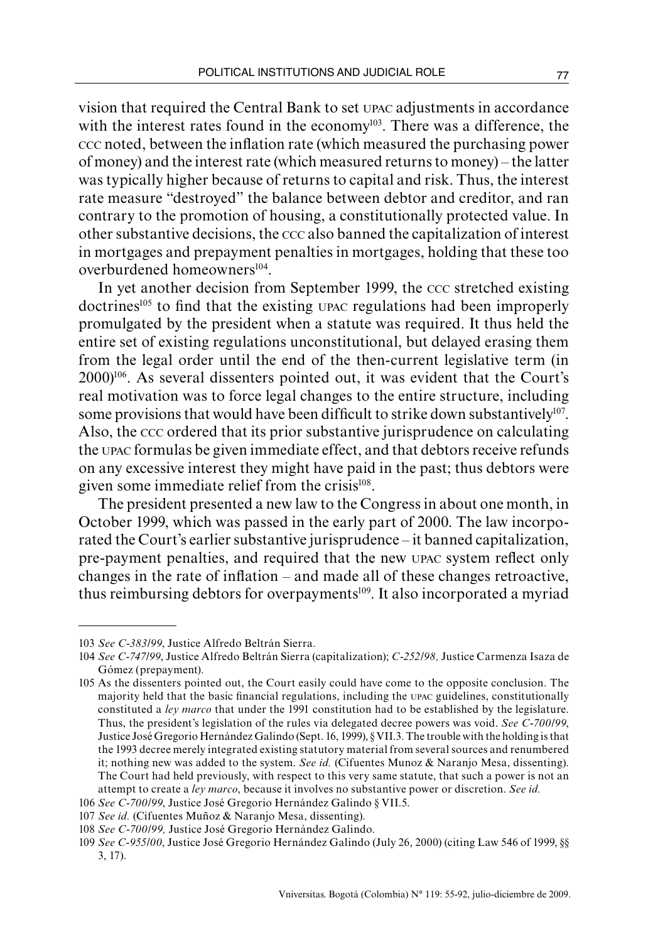vision that required the Central Bank to set upac adjustments in accordance with the interest rates found in the economy<sup>103</sup>. There was a difference, the ccc noted, between the inflation rate (which measured the purchasing power of money) and the interest rate (which measured returns to money) – the latter was typically higher because of returns to capital and risk. Thus, the interest rate measure "destroyed" the balance between debtor and creditor, and ran contrary to the promotion of housing, a constitutionally protected value. In other substantive decisions, the ccc also banned the capitalization of interest in mortgages and prepayment penalties in mortgages, holding that these too overburdened homeowners<sup>104</sup>.

In yet another decision from September 1999, the ccc stretched existing doctrines105 to find that the existing upac regulations had been improperly promulgated by the president when a statute was required. It thus held the entire set of existing regulations unconstitutional, but delayed erasing them from the legal order until the end of the then-current legislative term (in 2000)106. As several dissenters pointed out, it was evident that the Court's real motivation was to force legal changes to the entire structure, including some provisions that would have been difficult to strike down substantively $107$ . Also, the ccc ordered that its prior substantive jurisprudence on calculating the upac formulas be given immediate effect, and that debtors receive refunds on any excessive interest they might have paid in the past; thus debtors were given some immediate relief from the crisis<sup>108</sup>.

The president presented a new law to the Congress in about one month, in October 1999, which was passed in the early part of 2000. The law incorporated the Court's earlier substantive jurisprudence – it banned capitalization, pre-payment penalties, and required that the new upac system reflect only changes in the rate of inflation – and made all of these changes retroactive, thus reimbursing debtors for overpayments<sup>109</sup>. It also incorporated a myriad

<sup>103</sup> *See C-383/99*, Justice Alfredo Beltrán Sierra.

<sup>104</sup> *See C-747/99*, Justice Alfredo Beltrán Sierra (capitalization); *C-252/98,* Justice Carmenza Isaza de Gómez (prepayment).

<sup>105</sup> As the dissenters pointed out, the Court easily could have come to the opposite conclusion. The majority held that the basic financial regulations, including the upac guidelines, constitutionally constituted a *ley marco* that under the 1991 constitution had to be established by the legislature. Thus, the president's legislation of the rules via delegated decree powers was void. *See C-700/99*, Justice José Gregorio Hernández Galindo (Sept. 16, 1999), § VII.3. The trouble with the holding is that the 1993 decree merely integrated existing statutory material from several sources and renumbered it; nothing new was added to the system. *See id.* (Cifuentes Munoz & Naranjo Mesa, dissenting). The Court had held previously, with respect to this very same statute, that such a power is not an attempt to create a *ley marco*, because it involves no substantive power or discretion. *See id.*

<sup>106</sup> *See C-700/99*, Justice José Gregorio Hernández Galindo § VII.5.

<sup>107</sup> *See id.* (Cifuentes Muñoz & Naranjo Mesa, dissenting).

<sup>108</sup> *See C-700/99,* Justice José Gregorio Hernández Galindo.

<sup>109</sup> *See C-955/00*, Justice José Gregorio Hernández Galindo (July 26, 2000) (citing Law 546 of 1999, §§ 3, 17).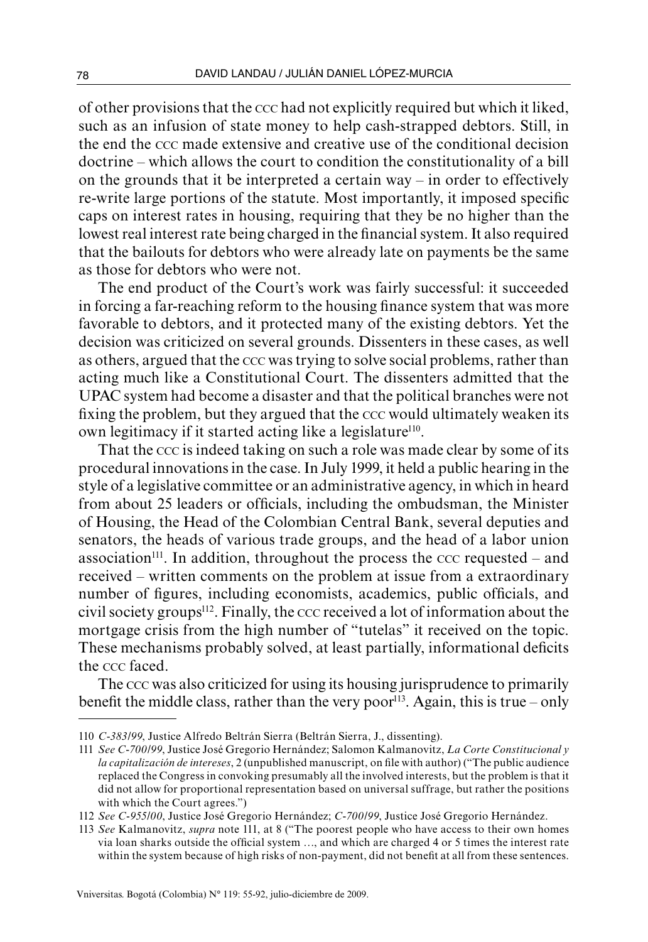of other provisions that the ccc had not explicitly required but which it liked, such as an infusion of state money to help cash-strapped debtors. Still, in the end the ccc made extensive and creative use of the conditional decision doctrine – which allows the court to condition the constitutionality of a bill on the grounds that it be interpreted a certain way – in order to effectively re-write large portions of the statute. Most importantly, it imposed specific caps on interest rates in housing, requiring that they be no higher than the lowest real interest rate being charged in the financial system. It also required that the bailouts for debtors who were already late on payments be the same as those for debtors who were not.

The end product of the Court's work was fairly successful: it succeeded in forcing a far-reaching reform to the housing finance system that was more favorable to debtors, and it protected many of the existing debtors. Yet the decision was criticized on several grounds. Dissenters in these cases, as well as others, argued that the ccc was trying to solve social problems, rather than acting much like a Constitutional Court. The dissenters admitted that the UPAC system had become a disaster and that the political branches were not fixing the problem, but they argued that the ccc would ultimately weaken its own legitimacy if it started acting like a legislature<sup>110</sup>.

That the ccc is indeed taking on such a role was made clear by some of its procedural innovations in the case. In July 1999, it held a public hearing in the style of a legislative committee or an administrative agency, in which in heard from about 25 leaders or officials, including the ombudsman, the Minister of Housing, the Head of the Colombian Central Bank, several deputies and senators, the heads of various trade groups, and the head of a labor union association<sup>111</sup>. In addition, throughout the process the  $ccc$  requested – and received – written comments on the problem at issue from a extraordinary number of figures, including economists, academics, public officials, and civil society groups<sup>112</sup>. Finally, the ccc received a lot of information about the mortgage crisis from the high number of "tutelas" it received on the topic. These mechanisms probably solved, at least partially, informational deficits the ccc faced.

The ccc was also criticized for using its housing jurisprudence to primarily benefit the middle class, rather than the very poor<sup>113</sup>. Again, this is true – only

<sup>110</sup> *C-383/99*, Justice Alfredo Beltrán Sierra (Beltrán Sierra, J., dissenting).

<sup>111</sup> *See C-700/99*, Justice José Gregorio Hernández; Salomon Kalmanovitz, *La Corte Constitucional y la capitalización de intereses*, 2 (unpublished manuscript, on file with author) ("The public audience replaced the Congress in convoking presumably all the involved interests, but the problem is that it did not allow for proportional representation based on universal suffrage, but rather the positions with which the Court agrees.")

<sup>112</sup> *See C-955/00*, Justice José Gregorio Hernández; *C-700/99*, Justice José Gregorio Hernández.

<sup>113</sup> *See* Kalmanovitz, *supra* note 111, at 8 ("The poorest people who have access to their own homes via loan sharks outside the official system …, and which are charged 4 or 5 times the interest rate within the system because of high risks of non-payment, did not benefit at all from these sentences.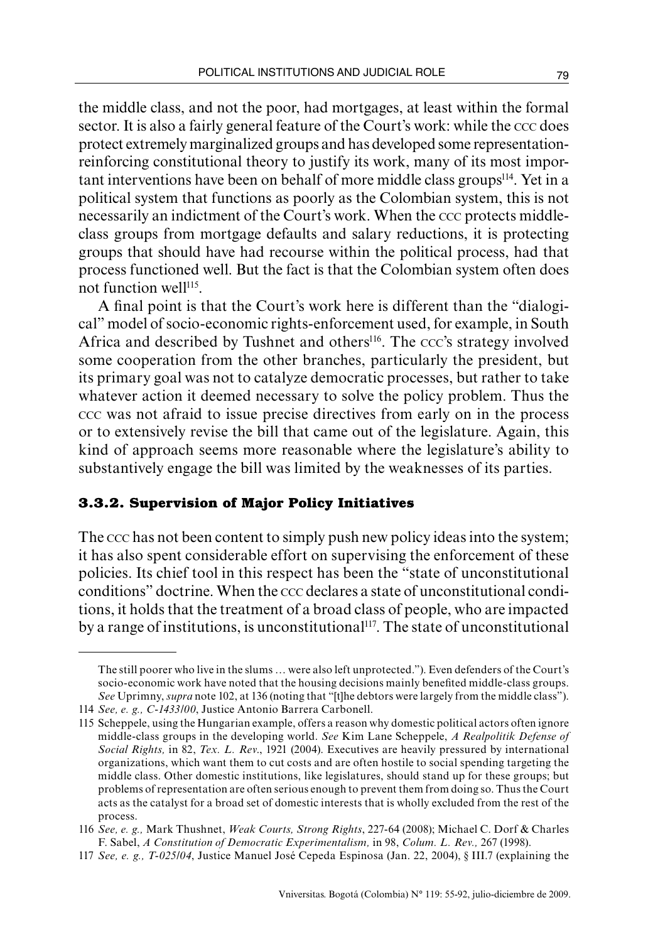the middle class, and not the poor, had mortgages, at least within the formal sector. It is also a fairly general feature of the Court's work: while the ccc does protect extremely marginalized groups and has developed some representationreinforcing constitutional theory to justify its work, many of its most important interventions have been on behalf of more middle class groups114. Yet in a political system that functions as poorly as the Colombian system, this is not necessarily an indictment of the Court's work. When the ccc protects middleclass groups from mortgage defaults and salary reductions, it is protecting groups that should have had recourse within the political process, had that process functioned well. But the fact is that the Colombian system often does not function well<sup>115</sup>.

A final point is that the Court's work here is different than the "dialogical" model of socio-economic rights-enforcement used, for example, in South Africa and described by Tushnet and others<sup>116</sup>. The ccc's strategy involved some cooperation from the other branches, particularly the president, but its primary goal was not to catalyze democratic processes, but rather to take whatever action it deemed necessary to solve the policy problem. Thus the ccc was not afraid to issue precise directives from early on in the process or to extensively revise the bill that came out of the legislature. Again, this kind of approach seems more reasonable where the legislature's ability to substantively engage the bill was limited by the weaknesses of its parties.

#### **3.3.2. Supervision of Major Policy Initiatives**

The ccc has not been content to simply push new policy ideas into the system; it has also spent considerable effort on supervising the enforcement of these policies. Its chief tool in this respect has been the "state of unconstitutional conditions" doctrine. When the ccc declares a state of unconstitutional conditions, it holds that the treatment of a broad class of people, who are impacted by a range of institutions, is unconstitutional<sup>117</sup>. The state of unconstitutional

The still poorer who live in the slums … were also left unprotected."). Even defenders of the Court's socio-economic work have noted that the housing decisions mainly benefited middle-class groups. *See* Uprimny, *supra* note 102, at 136 (noting that "[t]he debtors were largely from the middle class").

<sup>114</sup> *See, e. g., C-1433/00*, Justice Antonio Barrera Carbonell.

<sup>115</sup> Scheppele, using the Hungarian example, offers a reason why domestic political actors often ignore middle-class groups in the developing world. *See* Kim Lane Scheppele, *A Realpolitik Defense of Social Rights,* in 82, *Tex. L. Rev*., 1921 (2004). Executives are heavily pressured by international organizations, which want them to cut costs and are often hostile to social spending targeting the middle class. Other domestic institutions, like legislatures, should stand up for these groups; but problems of representation are often serious enough to prevent them from doing so. Thus the Court acts as the catalyst for a broad set of domestic interests that is wholly excluded from the rest of the process.

<sup>116</sup> *See, e. g.,* Mark Thushnet, *Weak Courts, Strong Rights*, 227-64 (2008); Michael C. Dorf & Charles F. Sabel, *A Constitution of Democratic Experimentalism,* in 98, *Colum. L. Rev.,* 267 (1998).

<sup>117</sup> *See, e. g., T-025/04*, Justice Manuel José Cepeda Espinosa (Jan. 22, 2004), § III.7 (explaining the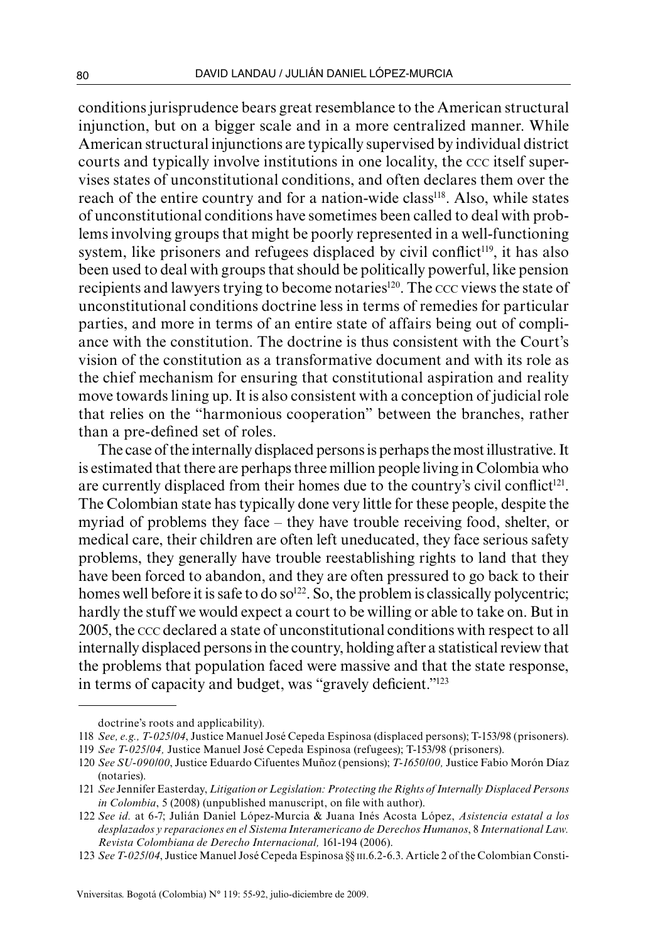conditions jurisprudence bears great resemblance to the American structural injunction, but on a bigger scale and in a more centralized manner. While American structural injunctions are typically supervised by individual district courts and typically involve institutions in one locality, the ccc itself supervises states of unconstitutional conditions, and often declares them over the reach of the entire country and for a nation-wide class<sup>118</sup>. Also, while states of unconstitutional conditions have sometimes been called to deal with problems involving groups that might be poorly represented in a well-functioning system, like prisoners and refugees displaced by civil conflict<sup>119</sup>, it has also been used to deal with groups that should be politically powerful, like pension recipients and lawyers trying to become notaries<sup>120</sup>. The ccc views the state of unconstitutional conditions doctrine less in terms of remedies for particular parties, and more in terms of an entire state of affairs being out of compliance with the constitution. The doctrine is thus consistent with the Court's vision of the constitution as a transformative document and with its role as the chief mechanism for ensuring that constitutional aspiration and reality move towards lining up. It is also consistent with a conception of judicial role that relies on the "harmonious cooperation" between the branches, rather than a pre-defined set of roles.

The case of the internally displaced persons is perhaps the most illustrative. It is estimated that there are perhaps three million people living in Colombia who are currently displaced from their homes due to the country's civil conflict<sup>121</sup>. The Colombian state has typically done very little for these people, despite the myriad of problems they face – they have trouble receiving food, shelter, or medical care, their children are often left uneducated, they face serious safety problems, they generally have trouble reestablishing rights to land that they have been forced to abandon, and they are often pressured to go back to their homes well before it is safe to do so<sup>122</sup>. So, the problem is classically polycentric; hardly the stuff we would expect a court to be willing or able to take on. But in 2005, the ccc declared a state of unconstitutional conditions with respect to all internally displaced persons in the country, holding after a statistical review that the problems that population faced were massive and that the state response, in terms of capacity and budget, was "gravely deficient."123

doctrine's roots and applicability).

<sup>118</sup> *See, e.g., T-025/04*, Justice Manuel José Cepeda Espinosa (displaced persons); T-153/98 (prisoners).

<sup>119</sup> *See T-025/04,* Justice Manuel José Cepeda Espinosa (refugees); T-153/98 (prisoners).

<sup>120</sup> *See SU-090/00*, Justice Eduardo Cifuentes Muñoz (pensions); *T-1650/00,* Justice Fabio Morón Díaz (notaries).

<sup>121</sup> *See* Jennifer Easterday, *Litigation or Legislation: Protecting the Rights of Internally Displaced Persons in Colombia*, 5 (2008) (unpublished manuscript, on file with author).

<sup>122</sup> *See id.* at 6-7; Julián Daniel López-Murcia & Juana Inés Acosta López, *Asistencia estatal a los desplazados y reparaciones en el Sistema Interamericano de Derechos Humanos*, 8 *International Law. Revista Colombiana de Derecho Internacional,* 161-194 (2006).

<sup>123</sup> *See T-025/04*, Justice Manuel José Cepeda Espinosa §§ iii.6.2-6.3. Article 2 of the Colombian Consti-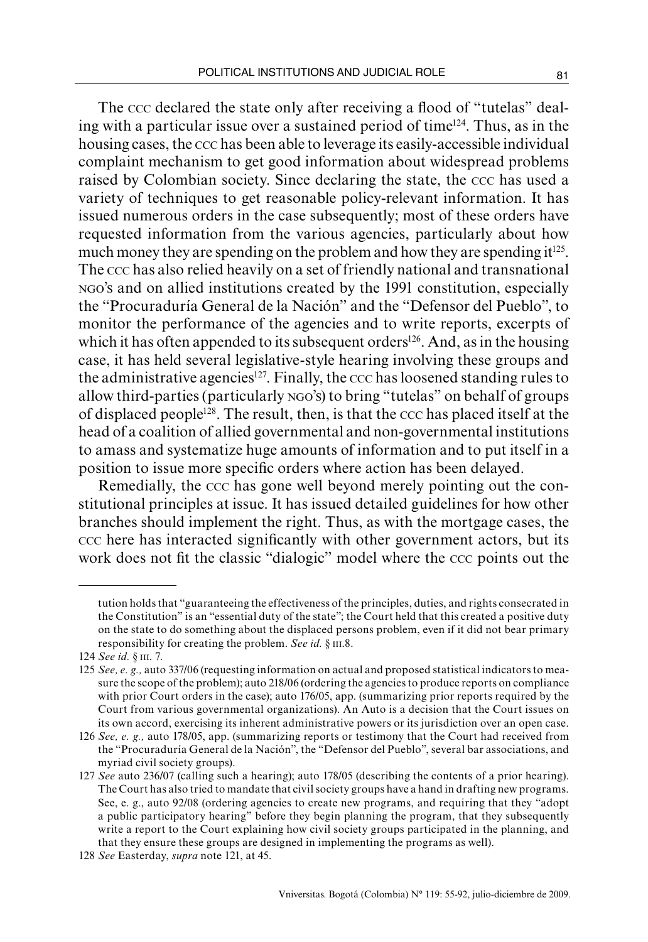The ccc declared the state only after receiving a flood of "tutelas" dealing with a particular issue over a sustained period of time124. Thus, as in the housing cases, the ccc has been able to leverage its easily-accessible individual complaint mechanism to get good information about widespread problems raised by Colombian society. Since declaring the state, the ccc has used a variety of techniques to get reasonable policy-relevant information. It has issued numerous orders in the case subsequently; most of these orders have requested information from the various agencies, particularly about how much money they are spending on the problem and how they are spending  $it^{125}$ . The ccc has also relied heavily on a set of friendly national and transnational ngo's and on allied institutions created by the 1991 constitution, especially the "Procuraduría General de la Nación" and the "Defensor del Pueblo", to monitor the performance of the agencies and to write reports, excerpts of which it has often appended to its subsequent orders<sup>126</sup>. And, as in the housing case, it has held several legislative-style hearing involving these groups and the administrative agencies<sup>127</sup>. Finally, the  $ccc$  has loosened standing rules to allow third-parties (particularly ngo's) to bring "tutelas" on behalf of groups of displaced people128. The result, then, is that the ccc has placed itself at the head of a coalition of allied governmental and non-governmental institutions to amass and systematize huge amounts of information and to put itself in a position to issue more specific orders where action has been delayed.

Remedially, the ccc has gone well beyond merely pointing out the constitutional principles at issue. It has issued detailed guidelines for how other branches should implement the right. Thus, as with the mortgage cases, the ccc here has interacted significantly with other government actors, but its work does not fit the classic "dialogic" model where the ccc points out the

tution holds that "guaranteeing the effectiveness of the principles, duties, and rights consecrated in the Constitution" is an "essential duty of the state"; the Court held that this created a positive duty on the state to do something about the displaced persons problem, even if it did not bear primary responsibility for creating the problem. *See id.* § III.8.

<sup>124</sup> *See id.* § iii. 7.

<sup>125</sup> *See, e. g.,* auto 337/06 (requesting information on actual and proposed statistical indicators to measure the scope of the problem); auto 218/06 (ordering the agencies to produce reports on compliance with prior Court orders in the case); auto 176/05, app. (summarizing prior reports required by the Court from various governmental organizations). An Auto is a decision that the Court issues on its own accord, exercising its inherent administrative powers or its jurisdiction over an open case.

<sup>126</sup> *See, e. g.,* auto 178/05, app. (summarizing reports or testimony that the Court had received from the "Procuraduría General de la Nación", the "Defensor del Pueblo", several bar associations, and myriad civil society groups).

<sup>127</sup> *See* auto 236/07 (calling such a hearing); auto 178/05 (describing the contents of a prior hearing). The Court has also tried to mandate that civil society groups have a hand in drafting new programs. See, e. g., auto 92/08 (ordering agencies to create new programs, and requiring that they "adopt a public participatory hearing" before they begin planning the program, that they subsequently write a report to the Court explaining how civil society groups participated in the planning, and that they ensure these groups are designed in implementing the programs as well).

<sup>128</sup> *See* Easterday, *supra* note 121, at 45.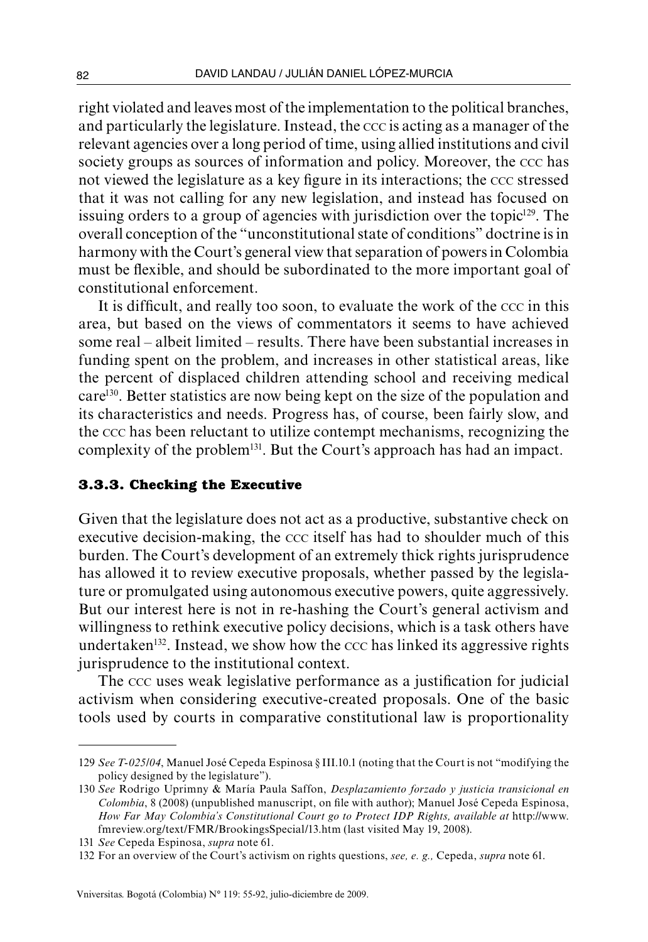right violated and leaves most of the implementation to the political branches, and particularly the legislature. Instead, the ccc is acting as a manager of the relevant agencies over a long period of time, using allied institutions and civil society groups as sources of information and policy. Moreover, the ccc has not viewed the legislature as a key figure in its interactions; the ccc stressed that it was not calling for any new legislation, and instead has focused on issuing orders to a group of agencies with jurisdiction over the topic<sup>129</sup>. The overall conception of the "unconstitutional state of conditions" doctrine is in harmony with the Court's general view that separation of powers in Colombia must be flexible, and should be subordinated to the more important goal of constitutional enforcement.

It is difficult, and really too soon, to evaluate the work of the ccc in this area, but based on the views of commentators it seems to have achieved some real – albeit limited – results. There have been substantial increases in funding spent on the problem, and increases in other statistical areas, like the percent of displaced children attending school and receiving medical care130. Better statistics are now being kept on the size of the population and its characteristics and needs. Progress has, of course, been fairly slow, and the ccc has been reluctant to utilize contempt mechanisms, recognizing the complexity of the problem<sup>131</sup>. But the Court's approach has had an impact.

#### **3.3.3. Checking the Executive**

Given that the legislature does not act as a productive, substantive check on executive decision-making, the ccc itself has had to shoulder much of this burden. The Court's development of an extremely thick rights jurisprudence has allowed it to review executive proposals, whether passed by the legislature or promulgated using autonomous executive powers, quite aggressively. But our interest here is not in re-hashing the Court's general activism and willingness to rethink executive policy decisions, which is a task others have undertaken<sup>132</sup>. Instead, we show how the  $\rm ccc$  has linked its aggressive rights jurisprudence to the institutional context.

The ccc uses weak legislative performance as a justification for judicial activism when considering executive-created proposals. One of the basic tools used by courts in comparative constitutional law is proportionality

<sup>129</sup> *See T-025/04*, Manuel José Cepeda Espinosa § III.10.1 (noting that the Court is not "modifying the policy designed by the legislature").

<sup>130</sup> *See* Rodrigo Uprimny & María Paula Saffon, *Desplazamiento forzado y justicia transicional en Colombia*, 8 (2008) (unpublished manuscript, on file with author); Manuel José Cepeda Espinosa, *How Far May Colombia's Constitutional Court go to Protect IDP Rights, available at* http://www. fmreview.org/text/FMR/BrookingsSpecial/13.htm (last visited May 19, 2008).

<sup>131</sup> *See* Cepeda Espinosa, *supra* note 61.

<sup>132</sup> For an overview of the Court's activism on rights questions, *see, e. g.,* Cepeda, *supra* note 61.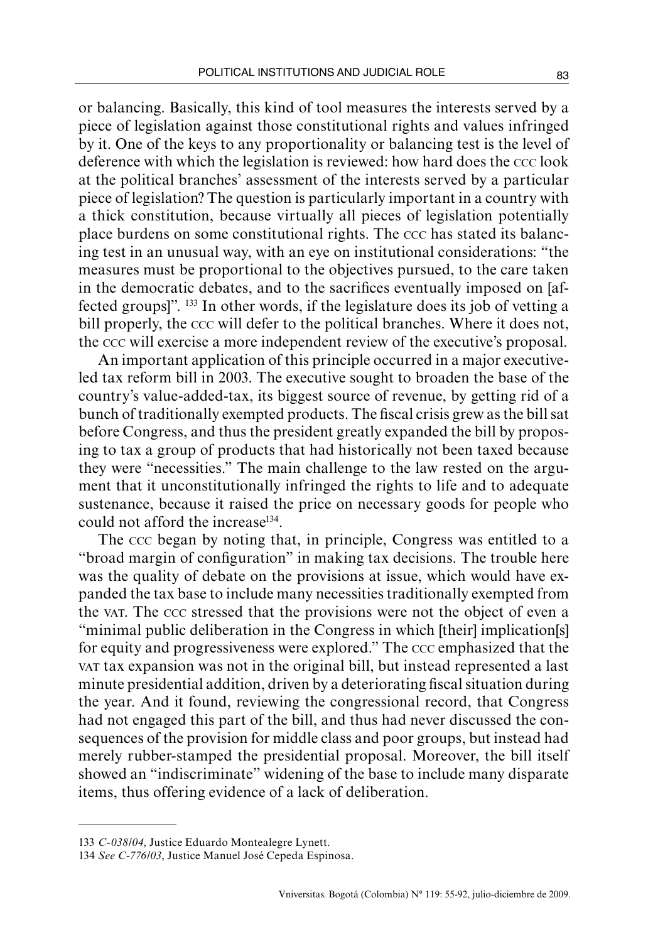or balancing. Basically, this kind of tool measures the interests served by a piece of legislation against those constitutional rights and values infringed by it. One of the keys to any proportionality or balancing test is the level of deference with which the legislation is reviewed: how hard does the ccc look at the political branches' assessment of the interests served by a particular piece of legislation? The question is particularly important in a country with a thick constitution, because virtually all pieces of legislation potentially place burdens on some constitutional rights. The ccc has stated its balancing test in an unusual way, with an eye on institutional considerations: "the measures must be proportional to the objectives pursued, to the care taken in the democratic debates, and to the sacrifices eventually imposed on [affected groups]". 133 In other words, if the legislature does its job of vetting a bill properly, the ccc will defer to the political branches. Where it does not, the ccc will exercise a more independent review of the executive's proposal.

An important application of this principle occurred in a major executiveled tax reform bill in 2003. The executive sought to broaden the base of the country's value-added-tax, its biggest source of revenue, by getting rid of a bunch of traditionally exempted products. The fiscal crisis grew as the bill sat before Congress, and thus the president greatly expanded the bill by proposing to tax a group of products that had historically not been taxed because they were "necessities." The main challenge to the law rested on the argument that it unconstitutionally infringed the rights to life and to adequate sustenance, because it raised the price on necessary goods for people who could not afford the increase134.

The ccc began by noting that, in principle, Congress was entitled to a "broad margin of configuration" in making tax decisions. The trouble here was the quality of debate on the provisions at issue, which would have expanded the tax base to include many necessities traditionally exempted from the var. The ccc stressed that the provisions were not the object of even a "minimal public deliberation in the Congress in which [their] implication[s] for equity and progressiveness were explored." The ccc emphasized that the vat tax expansion was not in the original bill, but instead represented a last minute presidential addition, driven by a deteriorating fiscal situation during the year. And it found, reviewing the congressional record, that Congress had not engaged this part of the bill, and thus had never discussed the consequences of the provision for middle class and poor groups, but instead had merely rubber-stamped the presidential proposal. Moreover, the bill itself showed an "indiscriminate" widening of the base to include many disparate items, thus offering evidence of a lack of deliberation.

<sup>133</sup> *C-038/04*, Justice Eduardo Montealegre Lynett.

<sup>134</sup> *See C-776/03*, Justice Manuel José Cepeda Espinosa.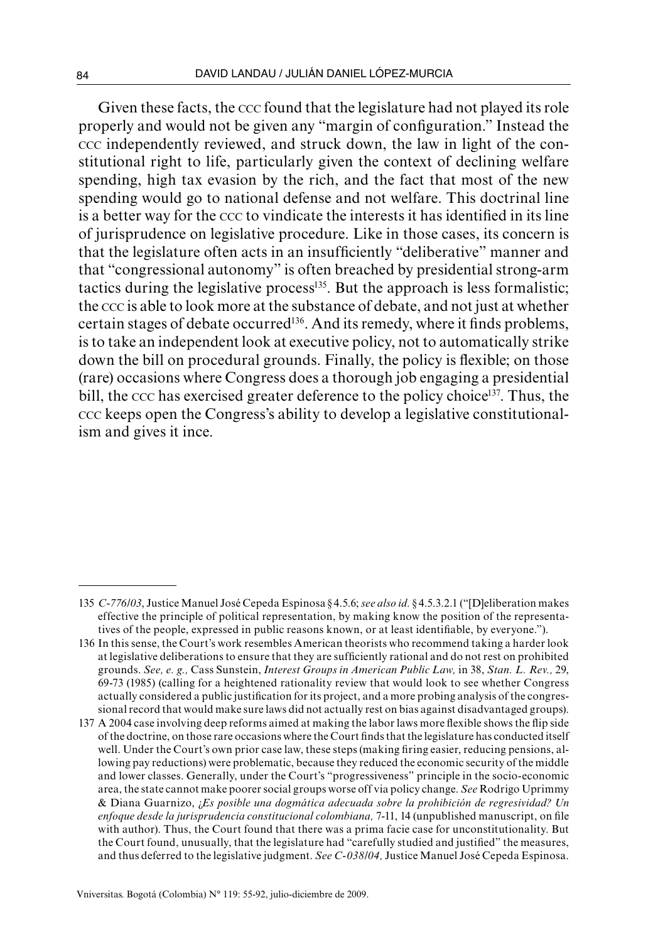Given these facts, the ccc found that the legislature had not played its role properly and would not be given any "margin of configuration." Instead the ccc independently reviewed, and struck down, the law in light of the constitutional right to life, particularly given the context of declining welfare spending, high tax evasion by the rich, and the fact that most of the new spending would go to national defense and not welfare. This doctrinal line is a better way for the ccc to vindicate the interests it has identified in its line of jurisprudence on legislative procedure. Like in those cases, its concern is that the legislature often acts in an insufficiently "deliberative" manner and that "congressional autonomy" is often breached by presidential strong-arm tactics during the legislative process $135$ . But the approach is less formalistic; the ccc is able to look more at the substance of debate, and not just at whether certain stages of debate occurred<sup>136</sup>. And its remedy, where it finds problems, is to take an independent look at executive policy, not to automatically strike down the bill on procedural grounds. Finally, the policy is flexible; on those (rare) occasions where Congress does a thorough job engaging a presidential bill, the ccc has exercised greater deference to the policy choice<sup>137</sup>. Thus, the ccc keeps open the Congress's ability to develop a legislative constitutionalism and gives it ince.

<sup>135</sup> *C-776/03*, Justice Manuel José Cepeda Espinosa § 4.5.6; *see also id.* § 4.5.3.2.1 ("[D]eliberation makes effective the principle of political representation, by making know the position of the representatives of the people, expressed in public reasons known, or at least identifiable, by everyone.").

<sup>136</sup> In this sense, the Court's work resembles American theorists who recommend taking a harder look at legislative deliberations to ensure that they are sufficiently rational and do not rest on prohibited grounds. *See, e. g.,* Cass Sunstein, *Interest Groups in American Public Law,* in 38, *Stan. L. Rev.,* 29, 69-73 (1985) (calling for a heightened rationality review that would look to see whether Congress actually considered a public justification for its project, and a more probing analysis of the congressional record that would make sure laws did not actually rest on bias against disadvantaged groups).

<sup>137</sup> A 2004 case involving deep reforms aimed at making the labor laws more flexible shows the flip side of the doctrine, on those rare occasions where the Court finds that the legislature has conducted itself well. Under the Court's own prior case law, these steps (making firing easier, reducing pensions, allowing pay reductions) were problematic, because they reduced the economic security of the middle and lower classes. Generally, under the Court's "progressiveness" principle in the socio-economic area, the state cannot make poorer social groups worse off via policy change. *See* Rodrigo Uprimmy & Diana Guarnizo, ¿*Es posible una dogmática adecuada sobre la prohibición de regresividad? Un enfoque desde la jurisprudencia constitucional colombiana,* 7-11, 14 (unpublished manuscript, on file with author). Thus, the Court found that there was a prima facie case for unconstitutionality. But the Court found, unusually, that the legislature had "carefully studied and justified" the measures, and thus deferred to the legislative judgment. *See C-038/04,* Justice Manuel José Cepeda Espinosa.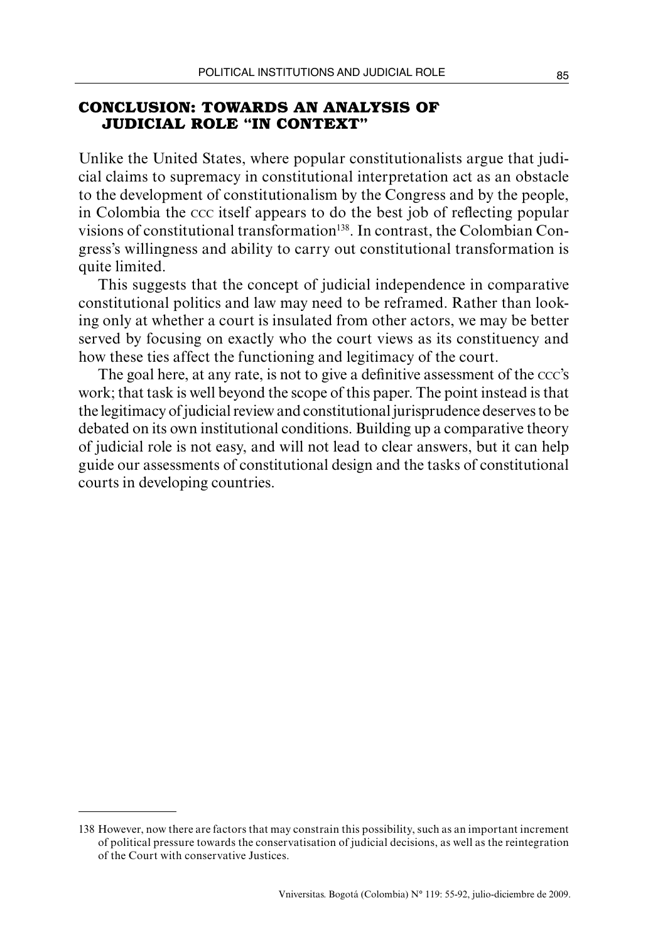## **CONCLUSION: TOWARDS AN ANALYSIS OF JUDICIAL ROLE "IN CONTEXT"**

Unlike the United States, where popular constitutionalists argue that judicial claims to supremacy in constitutional interpretation act as an obstacle to the development of constitutionalism by the Congress and by the people, in Colombia the ccc itself appears to do the best job of reflecting popular visions of constitutional transformation138. In contrast, the Colombian Congress's willingness and ability to carry out constitutional transformation is quite limited.

This suggests that the concept of judicial independence in comparative constitutional politics and law may need to be reframed. Rather than looking only at whether a court is insulated from other actors, we may be better served by focusing on exactly who the court views as its constituency and how these ties affect the functioning and legitimacy of the court.

The goal here, at any rate, is not to give a definitive assessment of the ccc's work; that task is well beyond the scope of this paper. The point instead is that the legitimacy of judicial review and constitutional jurisprudence deserves to be debated on its own institutional conditions. Building up a comparative theory of judicial role is not easy, and will not lead to clear answers, but it can help guide our assessments of constitutional design and the tasks of constitutional courts in developing countries.

<sup>138</sup> However, now there are factors that may constrain this possibility, such as an important increment of political pressure towards the conservatisation of judicial decisions, as well as the reintegration of the Court with conservative Justices.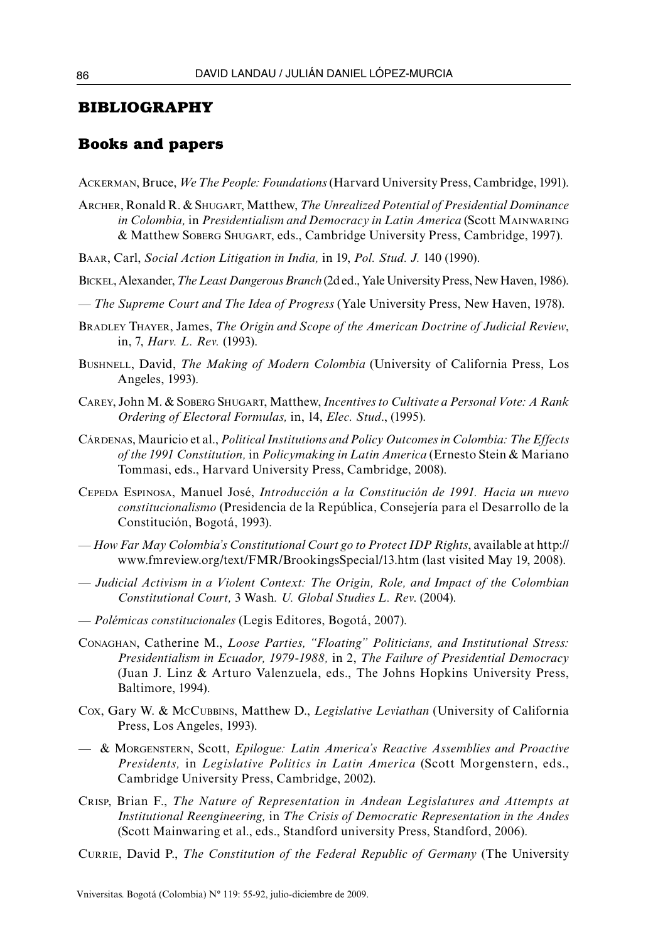### **BIBLIOGRAPHY**

#### **Books and papers**

Ackerman, Bruce, *We The People: Foundations* (Harvard University Press, Cambridge, 1991).

- Archer, Ronald R. & Shugart, Matthew, *The Unrealized Potential of Presidential Dominance in Colombia,* in *Presidentialism and Democracy in Latin America* (Scott Mainwaring & Matthew Soberg Shugart, eds., Cambridge University Press, Cambridge, 1997).
- Baar, Carl, *Social Action Litigation in India,* in 19, *Pol. Stud. J.* 140 (1990).
- Bickel, Alexander, *The Least Dangerous Branch* (2d ed., Yale University Press, New Haven, 1986).
- *The Supreme Court and The Idea of Progress* (Yale University Press, New Haven, 1978).
- Bradley Thayer, James, *The Origin and Scope of the American Doctrine of Judicial Review*, in, 7, *Harv. L. Rev.* (1993).
- Bushnell, David, *The Making of Modern Colombia* (University of California Press, Los Angeles, 1993).
- Carey, John M. & Soberg Shugart, Matthew, *Incentives to Cultivate a Personal Vote: A Rank Ordering of Electoral Formulas,* in, 14, *Elec. Stud*., (1995).
- Cárdenas, Mauricio et al., *Political Institutions and Policy Outcomes in Colombia: The Effects of the 1991 Constitution,* in *Policymaking in Latin America* (Ernesto Stein & Mariano Tommasi, eds., Harvard University Press, Cambridge, 2008).
- Cepeda Espinosa, Manuel José, *Introducción a la Constitución de 1991. Hacia un nuevo constitucionalismo* (Presidencia de la República, Consejería para el Desarrollo de la Constitución, Bogotá, 1993).
- *How Far May Colombia's Constitutional Court go to Protect IDP Rights*, available at http:// www.fmreview.org/text/FMR/BrookingsSpecial/13.htm (last visited May 19, 2008).
- *Judicial Activism in a Violent Context: The Origin, Role, and Impact of the Colombian Constitutional Court,* 3 Wash*. U. Global Studies L. Rev*. (2004).
- *Polémicas constitucionales* (Legis Editores, Bogotá, 2007).
- Conaghan, Catherine M., *Loose Parties, "Floating" Politicians, and Institutional Stress: Presidentialism in Ecuador, 1979-1988,* in 2, *The Failure of Presidential Democracy* (Juan J. Linz & Arturo Valenzuela, eds., The Johns Hopkins University Press, Baltimore, 1994).
- Cox, Gary W. & McCubbins, Matthew D., *Legislative Leviathan* (University of California Press, Los Angeles, 1993).
- & Morgenstern, Scott, *Epilogue: Latin America's Reactive Assemblies and Proactive Presidents,* in *Legislative Politics in Latin America* (Scott Morgenstern, eds., Cambridge University Press, Cambridge, 2002).
- Crisp, Brian F., *The Nature of Representation in Andean Legislatures and Attempts at Institutional Reengineering,* in *The Crisis of Democratic Representation in the Andes* (Scott Mainwaring et al., eds., Standford university Press, Standford, 2006).
- Currie, David P., *The Constitution of the Federal Republic of Germany* (The University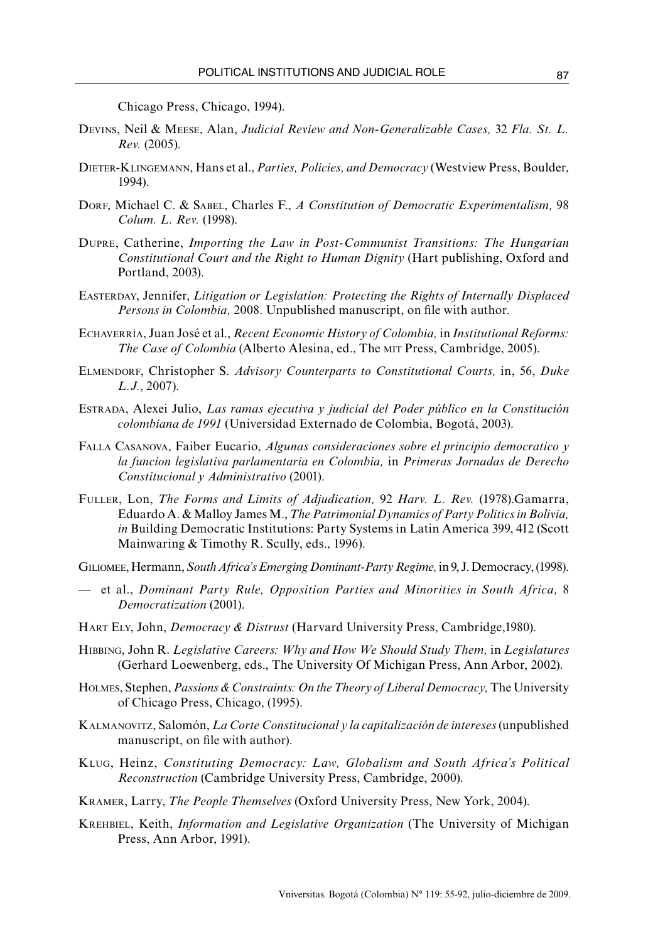Chicago Press, Chicago, 1994).

- Devins, Neil & Meese, Alan, *Judicial Review and Non-Generalizable Cases,* 32 *Fla. St. L. Rev.* (2005).
- Dieter-Klingemann, Hans et al., *Parties, Policies, and Democracy* (Westview Press, Boulder, 1994).
- DORF, Michael C. & SABEL, Charles F., *A Constitution of Democratic Experimentalism*, 98 *Colum. L. Rev.* (1998).
- Dupre, Catherine, *Importing the Law in Post-Communist Transitions: The Hungarian Constitutional Court and the Right to Human Dignity* (Hart publishing, Oxford and Portland, 2003).
- Easterday, Jennifer, *Litigation or Legislation: Protecting the Rights of Internally Displaced Persons in Colombia,* 2008. Unpublished manuscript, on file with author.
- Echaverría, Juan José et al., *Recent Economic History of Colombia,* in *Institutional Reforms: The Case of Colombia* (Alberto Alesina, ed., The mit Press, Cambridge, 2005).
- Elmendorf, Christopher S. *Advisory Counterparts to Constitutional Courts,* in, 56, *Duke L.J.*, 2007).
- Estrada, Alexei Julio, *Las ramas ejecutiva y judicial del Poder público en la Constitución colombiana de 1991* (Universidad Externado de Colombia, Bogotá, 2003).
- Falla Casanova, Faiber Eucario, *Algunas consideraciones sobre el principio democratico y la funcion legislativa parlamentaria en Colombia,* in *Primeras Jornadas de Derecho Constitucional y Administrativo* (2001).
- Fuller, Lon, *The Forms and Limits of Adjudication,* 92 *Harv. L. Rev.* (1978).Gamarra, Eduardo A. & Malloy James M., *The Patrimonial Dynamics of Party Politics in Bolivia, in* Building Democratic Institutions: Party Systems in Latin America 399, 412 (Scott Mainwaring & Timothy R. Scully, eds., 1996).
- Giliomee, Hermann, *South Africa's Emerging Dominant-Party Regime,* in 9, J. Democracy, (1998).
- et al., *Dominant Party Rule, Opposition Parties and Minorities in South Africa,* 8 *Democratization* (2001).
- Hart Ely, John, *Democracy & Distrust* (Harvard University Press, Cambridge,1980).
- Hibbing, John R. *Legislative Careers: Why and How We Should Study Them,* in *Legislatures* (Gerhard Loewenberg, eds., The University Of Michigan Press, Ann Arbor, 2002).
- HOLMES, Stephen, *Passions & Constraints: On the Theory of Liberal Democracy*, The University of Chicago Press, Chicago, (1995).
- Kalmanovitz, Salomón, *La Corte Constitucional y la capitalización de intereses* (unpublished manuscript, on file with author).
- Klug, Heinz, *Constituting Democracy: Law, Globalism and South Africa's Political Reconstruction* (Cambridge University Press, Cambridge, 2000).
- Kramer, Larry, *The People Themselves* (Oxford University Press, New York, 2004).
- Krehbiel, Keith, *Information and Legislative Organization* (The University of Michigan Press, Ann Arbor, 1991).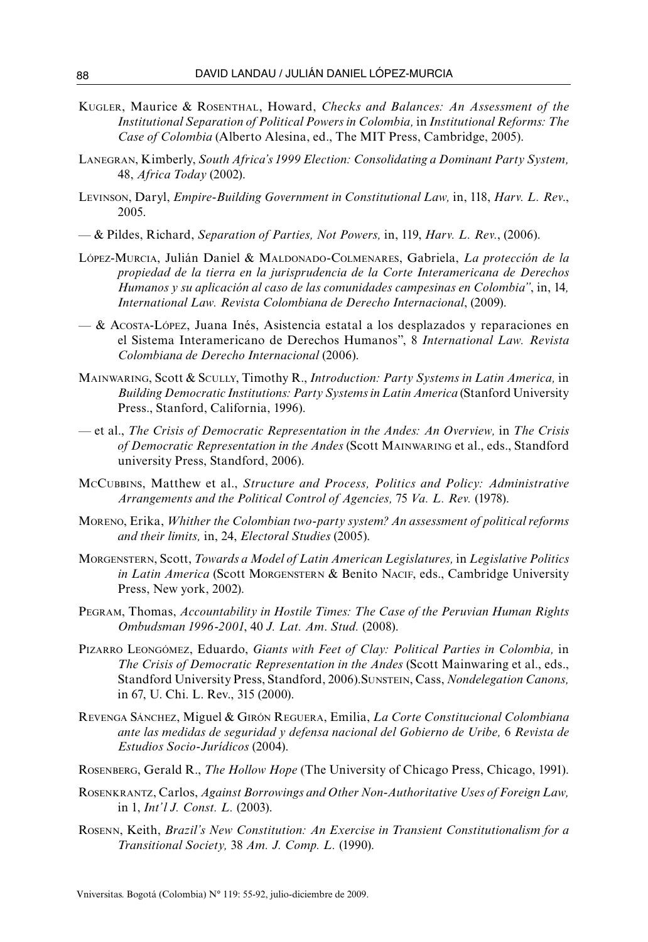- Kugler, Maurice & Rosenthal, Howard, *Checks and Balances: An Assessment of the Institutional Separation of Political Powers in Colombia,* in *Institutional Reforms: The Case of Colombia* (Alberto Alesina, ed., The MIT Press, Cambridge, 2005).
- Lanegran, Kimberly, *South Africa's 1999 Election: Consolidating a Dominant Party System,* 48, *Africa Today* (2002).
- Levinson, Daryl, *Empire-Building Government in Constitutional Law,* in, 118, *Harv. L. Rev*., 2005.
- & Pildes, Richard, *Separation of Parties, Not Powers,* in, 119, *Harv. L. Rev.*, (2006).
- López-Murcia, Julián Daniel & Maldonado-Colmenares, Gabriela, *La protección de la propiedad de la tierra en la jurisprudencia de la Corte Interamericana de Derechos Humanos y su aplicación al caso de las comunidades campesinas en Colombia"*, in, 14*, International Law. Revista Colombiana de Derecho Internacional*, (2009).
- & Acosta-López, Juana Inés, Asistencia estatal a los desplazados y reparaciones en el Sistema Interamericano de Derechos Humanos", 8 *International Law. Revista Colombiana de Derecho Internacional* (2006).
- Mainwaring, Scott & Scully, Timothy R., *Introduction: Party Systems in Latin America,* in *Building Democratic Institutions: Party Systems in Latin America* (Stanford University Press., Stanford, California, 1996).
- et al., *The Crisis of Democratic Representation in the Andes: An Overview,* in *The Crisis of Democratic Representation in the Andes* (Scott Mainwaring et al., eds., Standford university Press, Standford, 2006).
- McCubbins, Matthew et al., *Structure and Process, Politics and Policy: Administrative Arrangements and the Political Control of Agencies,* 75 *Va. L. Rev.* (1978).
- Moreno, Erika, *Whither the Colombian two-party system? An assessment of political reforms and their limits,* in, 24, *Electoral Studies* (2005).
- Morgenstern, Scott, *Towards a Model of Latin American Legislatures,* in *Legislative Politics in Latin America* (Scott MORGENSTERN & Benito NACIF, eds., Cambridge University Press, New york, 2002).
- Pegram, Thomas, *Accountability in Hostile Times: The Case of the Peruvian Human Rights Ombudsman 1996-2001*, 40 *J. Lat. Am*. *Stud.* (2008).
- Pizarro Leongómez, Eduardo, *Giants with Feet of Clay: Political Parties in Colombia,* in *The Crisis of Democratic Representation in the Andes* (Scott Mainwaring et al., eds., Standford University Press, Standford, 2006).Sunstein, Cass, *Nondelegation Canons,* in 67, U. Chi. L. Rev., 315 (2000).
- Revenga Sánchez, Miguel & Girón Reguera, Emilia, *La Corte Constitucional Colombiana ante las medidas de seguridad y defensa nacional del Gobierno de Uribe,* 6 *Revista de Estudios Socio-Jurídicos* (2004).
- Rosenberg, Gerald R., *The Hollow Hope* (The University of Chicago Press, Chicago, 1991).
- Rosenkrantz, Carlos, *Against Borrowings and Other Non-Authoritative Uses of Foreign Law,* in 1, *Int'l J. Const. L.* (2003).
- Rosenn, Keith, *Brazil's New Constitution: An Exercise in Transient Constitutionalism for a Transitional Society,* 38 *Am. J. Comp. L.* (1990).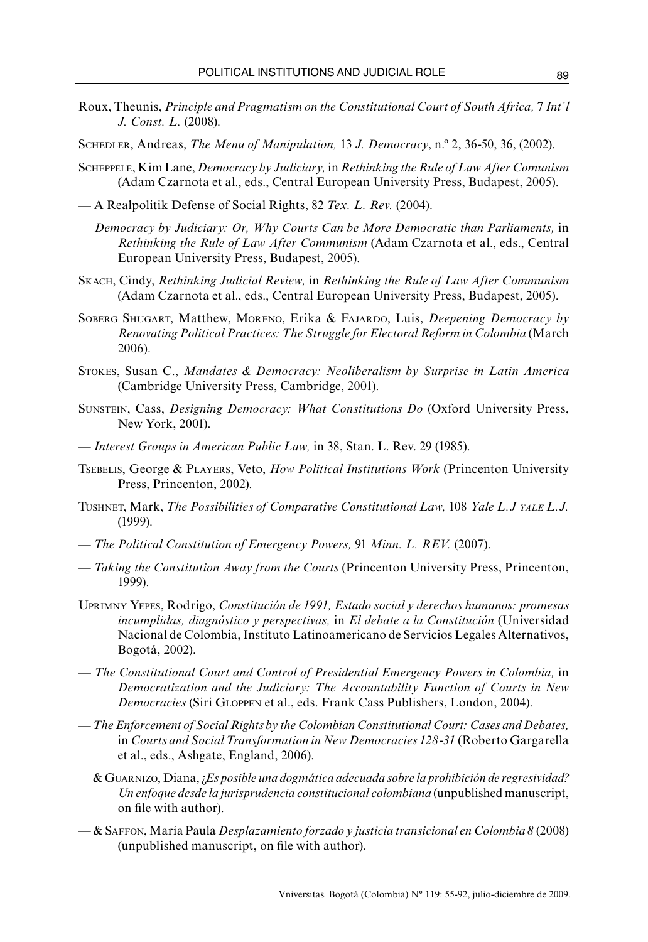- Roux, Theunis, *Principle and Pragmatism on the Constitutional Court of South Africa,* 7 *Int'l J. Const. L.* (2008).
- Schedler, Andreas, *The Menu of Manipulation,* 13 *J. Democracy*, n.º 2, 36-50, 36, (2002).
- Scheppele, Kim Lane, *Democracy by Judiciary,* in *Rethinking the Rule of Law After Comunism* (Adam Czarnota et al., eds., Central European University Press, Budapest, 2005).
- A Realpolitik Defense of Social Rights, 82 *Tex. L. Rev.* (2004).
- *Democracy by Judiciary: Or, Why Courts Can be More Democratic than Parliaments,* in *Rethinking the Rule of Law After Communism* (Adam Czarnota et al., eds., Central European University Press, Budapest, 2005).
- Skach, Cindy, *Rethinking Judicial Review,* in *Rethinking the Rule of Law After Communism* (Adam Czarnota et al., eds., Central European University Press, Budapest, 2005).
- Soberg Shugart, Matthew, Moreno, Erika & Fajardo, Luis, *Deepening Democracy by Renovating Political Practices: The Struggle for Electoral Reform in Colombia* (March 2006).
- Stokes, Susan C., *Mandates & Democracy: Neoliberalism by Surprise in Latin America* (Cambridge University Press, Cambridge, 2001).
- Sunstein, Cass, *Designing Democracy: What Constitutions Do* (Oxford University Press, New York, 2001).
- *Interest Groups in American Public Law,* in 38, Stan. L. Rev. 29 (1985).
- Tsebelis, George & Players, Veto, *How Political Institutions Work* (Princenton University Press, Princenton, 2002).
- Tushnet, Mark, *The Possibilities of Comparative Constitutional Law,* 108 *Yale L.J yale L.J.* (1999).
- *The Political Constitution of Emergency Powers,* 91 *Minn. L. REV.* (2007).
- *Taking the Constitution Away from the Courts* (Princenton University Press, Princenton, 1999).
- Uprimny Yepes, Rodrigo, *Constitución de 1991, Estado social y derechos humanos: promesas incumplidas, diagnóstico y perspectivas,* in *El debate a la Constitución* (Universidad Nacional de Colombia, Instituto Latinoamericano de Servicios Legales Alternativos, Bogotá, 2002).
- *The Constitutional Court and Control of Presidential Emergency Powers in Colombia,* in *Democratization and the Judiciary: The Accountability Function of Courts in New Democracies* (Siri Gloppen et al., eds. Frank Cass Publishers, London, 2004).
- —*The Enforcement of Social Rights by the Colombian Constitutional Court: Cases and Debates,*  in *Courts and Social Transformation in New Democracies 128-31* (Roberto Gargarella et al., eds., Ashgate, England, 2006).
- & Guarnizo, Diana, ¿*Es posible una dogmática adecuada sobre la prohibición de regresividad? Un enfoque desde la jurisprudencia constitucional colombiana* (unpublished manuscript, on file with author).
- & Saffon, María Paula *Desplazamiento forzado y justicia transicional en Colombia 8* (2008) (unpublished manuscript, on file with author).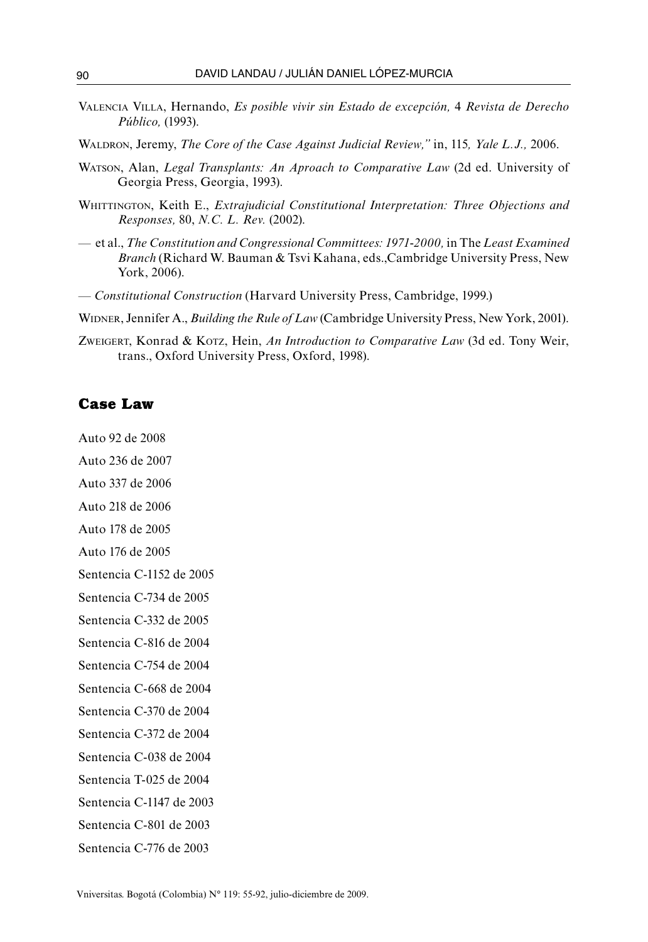- Valencia Villa, Hernando, *Es posible vivir sin Estado de excepción,* 4 *Revista de Derecho Público,* (1993).
- Waldron, Jeremy, *The Core of the Case Against Judicial Review,"* in, 115*, Yale L.J.,* 2006.
- Watson, Alan, *Legal Transplants: An Aproach to Comparative Law* (2d ed. University of Georgia Press, Georgia, 1993).
- Whittington, Keith E., *Extrajudicial Constitutional Interpretation: Three Objections and Responses,* 80, *N.C. L. Rev.* (2002).
- et al., *The Constitution and Congressional Committees: 1971-2000,* in The *Least Examined Branch* (Richard W. Bauman & Tsvi Kahana, eds.,Cambridge University Press, New York, 2006).
- *Constitutional Construction* (Harvard University Press, Cambridge, 1999.)
- Widner, Jennifer A., *Building the Rule of Law* (Cambridge University Press, New York, 2001).
- Zweigert, Konrad & Kotz, Hein, *An Introduction to Comparative Law* (3d ed. Tony Weir, trans., Oxford University Press, Oxford, 1998).

### **Case Law**

Auto 92 de 2008

Auto 236 de 2007

Auto 337 de 2006

Auto 218 de 2006

Auto 178 de 2005

Auto 176 de 2005

Sentencia C-1152 de 2005

Sentencia C-734 de 2005

Sentencia C-332 de 2005

Sentencia C-816 de 2004

Sentencia C-754 de 2004

Sentencia C-668 de 2004

Sentencia C-370 de 2004

Sentencia C-372 de 2004

Sentencia C-038 de 2004

Sentencia T-025 de 2004

Sentencia C-1147 de 2003

Sentencia C-801 de 2003

Sentencia C-776 de 2003